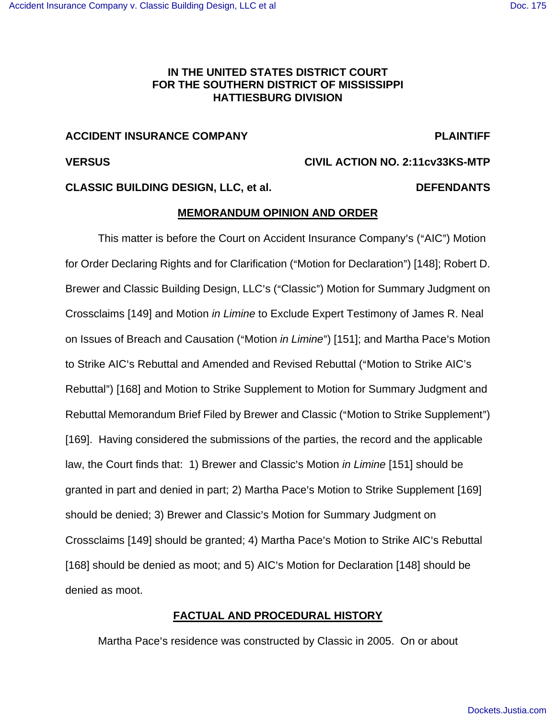# **IN THE UNITED STATES DISTRICT COURT FOR THE SOUTHERN DISTRICT OF MISSISSIPPI HATTIESBURG DIVISION**

# **ACCIDENT INSURANCE COMPANY PLAINTIFF**

# **VERSUS CIVIL ACTION NO. 2:11cv33KS-MTP**

# **CLASSIC BUILDING DESIGN, LLC, et al. DEFENDANTS**

# **MEMORANDUM OPINION AND ORDER**

This matter is before the Court on Accident Insurance Company's ("AIC") Motion for Order Declaring Rights and for Clarification ("Motion for Declaration") [148]; Robert D. Brewer and Classic Building Design, LLC's ("Classic") Motion for Summary Judgment on Crossclaims [149] and Motion in Limine to Exclude Expert Testimony of James R. Neal on Issues of Breach and Causation ("Motion *in Limine*") [151]; and Martha Pace's Motion to Strike AIC's Rebuttal and Amended and Revised Rebuttal ("Motion to Strike AIC's Rebuttal") [168] and Motion to Strike Supplement to Motion for Summary Judgment and Rebuttal Memorandum Brief Filed by Brewer and Classic ("Motion to Strike Supplement") [169]. Having considered the submissions of the parties, the record and the applicable law, the Court finds that: 1) Brewer and Classic's Motion in Limine [151] should be granted in part and denied in part; 2) Martha Pace's Motion to Strike Supplement [169] should be denied; 3) Brewer and Classic's Motion for Summary Judgment on Crossclaims [149] should be granted; 4) Martha Pace's Motion to Strike AIC's Rebuttal [168] should be denied as moot; and 5) AIC's Motion for Declaration [148] should be denied as moot.

# **FACTUAL AND PROCEDURAL HISTORY**

Martha Pace's residence was constructed by Classic in 2005. On or about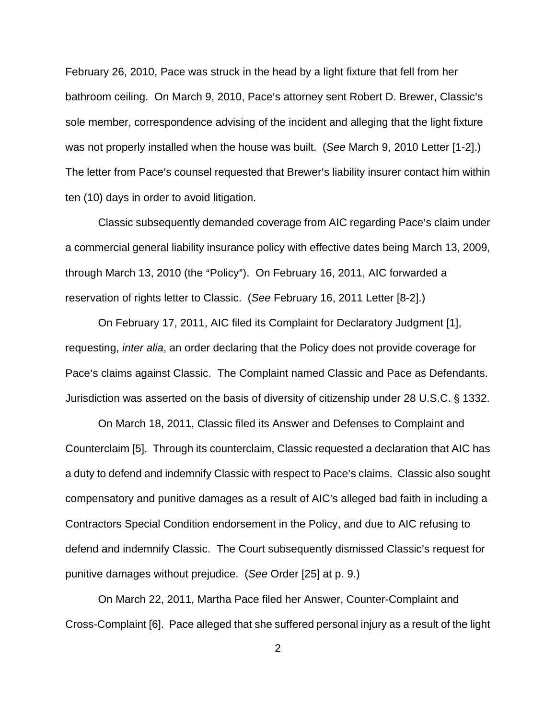February 26, 2010, Pace was struck in the head by a light fixture that fell from her bathroom ceiling. On March 9, 2010, Pace's attorney sent Robert D. Brewer, Classic's sole member, correspondence advising of the incident and alleging that the light fixture was not properly installed when the house was built. (See March 9, 2010 Letter [1-2].) The letter from Pace's counsel requested that Brewer's liability insurer contact him within ten (10) days in order to avoid litigation.

Classic subsequently demanded coverage from AIC regarding Pace's claim under a commercial general liability insurance policy with effective dates being March 13, 2009, through March 13, 2010 (the "Policy"). On February 16, 2011, AIC forwarded a reservation of rights letter to Classic. (See February 16, 2011 Letter [8-2].)

On February 17, 2011, AIC filed its Complaint for Declaratory Judgment [1], requesting, inter alia, an order declaring that the Policy does not provide coverage for Pace's claims against Classic. The Complaint named Classic and Pace as Defendants. Jurisdiction was asserted on the basis of diversity of citizenship under 28 U.S.C. § 1332.

On March 18, 2011, Classic filed its Answer and Defenses to Complaint and Counterclaim [5]. Through its counterclaim, Classic requested a declaration that AIC has a duty to defend and indemnify Classic with respect to Pace's claims. Classic also sought compensatory and punitive damages as a result of AIC's alleged bad faith in including a Contractors Special Condition endorsement in the Policy, and due to AIC refusing to defend and indemnify Classic. The Court subsequently dismissed Classic's request for punitive damages without prejudice. (See Order [25] at p. 9.)

On March 22, 2011, Martha Pace filed her Answer, Counter-Complaint and Cross-Complaint [6]. Pace alleged that she suffered personal injury as a result of the light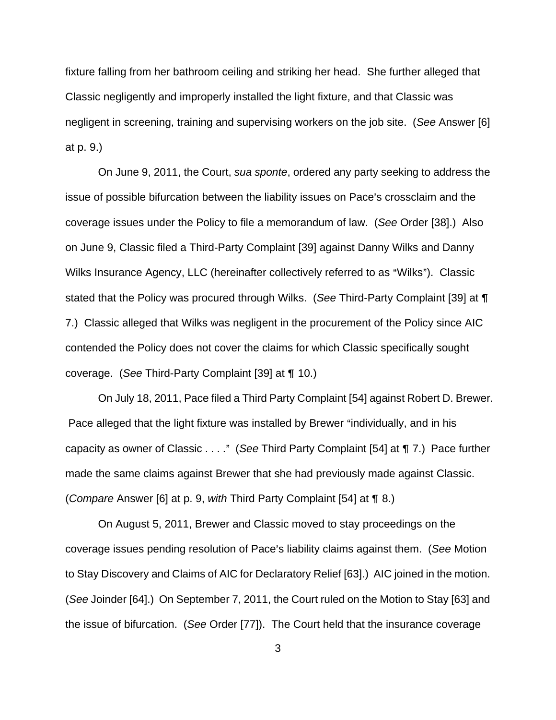fixture falling from her bathroom ceiling and striking her head. She further alleged that Classic negligently and improperly installed the light fixture, and that Classic was negligent in screening, training and supervising workers on the job site. (See Answer [6] at p. 9.)

On June 9, 2011, the Court, sua sponte, ordered any party seeking to address the issue of possible bifurcation between the liability issues on Pace's crossclaim and the coverage issues under the Policy to file a memorandum of law. (See Order [38].) Also on June 9, Classic filed a Third-Party Complaint [39] against Danny Wilks and Danny Wilks Insurance Agency, LLC (hereinafter collectively referred to as "Wilks"). Classic stated that the Policy was procured through Wilks. (See Third-Party Complaint [39] at ¶ 7.) Classic alleged that Wilks was negligent in the procurement of the Policy since AIC contended the Policy does not cover the claims for which Classic specifically sought coverage. (See Third-Party Complaint  $[39]$  at  $\P$  10.)

On July 18, 2011, Pace filed a Third Party Complaint [54] against Robert D. Brewer. Pace alleged that the light fixture was installed by Brewer "individually, and in his capacity as owner of Classic  $\dots$ ." (See Third Party Complaint [54] at  $\P$  7.) Pace further made the same claims against Brewer that she had previously made against Classic. (Compare Answer [6] at p. 9, with Third Party Complaint [54] at  $\P$  8.)

On August 5, 2011, Brewer and Classic moved to stay proceedings on the coverage issues pending resolution of Pace's liability claims against them. (See Motion to Stay Discovery and Claims of AIC for Declaratory Relief [63].) AIC joined in the motion. (See Joinder [64].) On September 7, 2011, the Court ruled on the Motion to Stay [63] and the issue of bifurcation. (See Order [77]). The Court held that the insurance coverage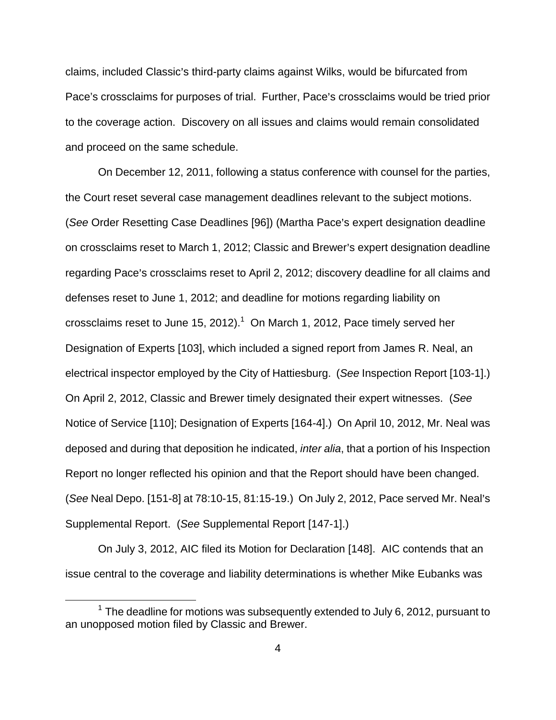claims, included Classic's third-party claims against Wilks, would be bifurcated from Pace's crossclaims for purposes of trial. Further, Pace's crossclaims would be tried prior to the coverage action. Discovery on all issues and claims would remain consolidated and proceed on the same schedule.

On December 12, 2011, following a status conference with counsel for the parties, the Court reset several case management deadlines relevant to the subject motions. (See Order Resetting Case Deadlines [96]) (Martha Pace's expert designation deadline on crossclaims reset to March 1, 2012; Classic and Brewer's expert designation deadline regarding Pace's crossclaims reset to April 2, 2012; discovery deadline for all claims and defenses reset to June 1, 2012; and deadline for motions regarding liability on crossclaims reset to June 15, 2012). $1$  On March 1, 2012, Pace timely served her Designation of Experts [103], which included a signed report from James R. Neal, an electrical inspector employed by the City of Hattiesburg. (See Inspection Report [103-1].) On April 2, 2012, Classic and Brewer timely designated their expert witnesses. (See Notice of Service [110]; Designation of Experts [164-4].) On April 10, 2012, Mr. Neal was deposed and during that deposition he indicated, *inter alia*, that a portion of his Inspection Report no longer reflected his opinion and that the Report should have been changed. (See Neal Depo. [151-8] at 78:10-15, 81:15-19.) On July 2, 2012, Pace served Mr. Neal=s Supplemental Report. (See Supplemental Report [147-1].)

On July 3, 2012, AIC filed its Motion for Declaration [148]. AIC contends that an issue central to the coverage and liability determinations is whether Mike Eubanks was

 $\overline{a}$ 

 $1$  The deadline for motions was subsequently extended to July 6, 2012, pursuant to an unopposed motion filed by Classic and Brewer.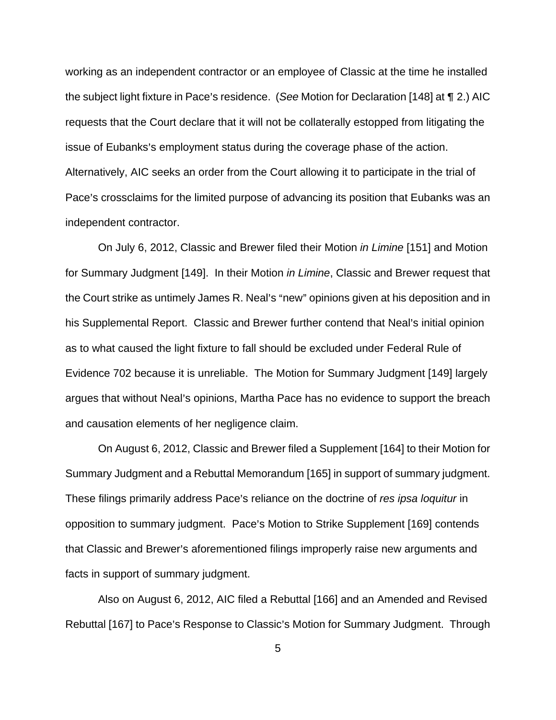working as an independent contractor or an employee of Classic at the time he installed the subject light fixture in Pace's residence. (See Motion for Declaration [148] at  $\P$  2.) AIC requests that the Court declare that it will not be collaterally estopped from litigating the issue of Eubanks's employment status during the coverage phase of the action. Alternatively, AIC seeks an order from the Court allowing it to participate in the trial of Pace's crossclaims for the limited purpose of advancing its position that Eubanks was an independent contractor.

On July 6, 2012, Classic and Brewer filed their Motion in Limine [151] and Motion for Summary Judgment [149]. In their Motion in Limine, Classic and Brewer request that the Court strike as untimely James R. Neal's "new" opinions given at his deposition and in his Supplemental Report. Classic and Brewer further contend that Neal's initial opinion as to what caused the light fixture to fall should be excluded under Federal Rule of Evidence 702 because it is unreliable. The Motion for Summary Judgment [149] largely argues that without Neal's opinions, Martha Pace has no evidence to support the breach and causation elements of her negligence claim.

On August 6, 2012, Classic and Brewer filed a Supplement [164] to their Motion for Summary Judgment and a Rebuttal Memorandum [165] in support of summary judgment. These filings primarily address Pace's reliance on the doctrine of res ipsa loquitur in opposition to summary judgment. Pace's Motion to Strike Supplement [169] contends that Classic and Brewer's aforementioned filings improperly raise new arguments and facts in support of summary judgment.

Also on August 6, 2012, AIC filed a Rebuttal [166] and an Amended and Revised Rebuttal [167] to Pace's Response to Classic's Motion for Summary Judgment. Through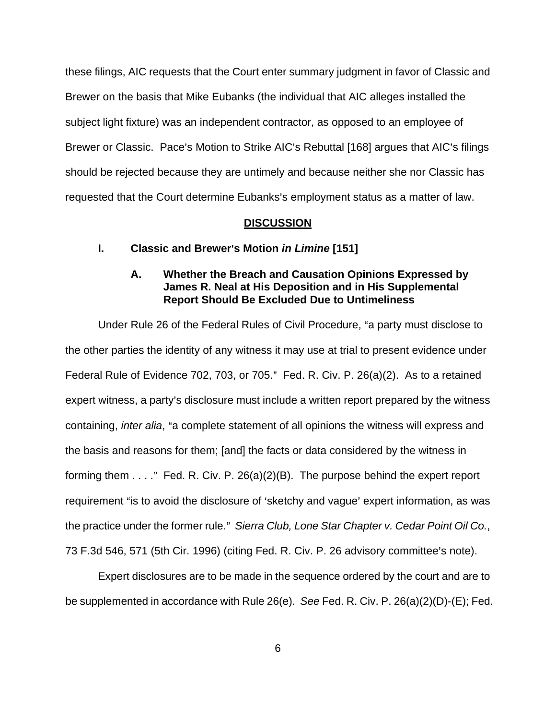these filings, AIC requests that the Court enter summary judgment in favor of Classic and Brewer on the basis that Mike Eubanks (the individual that AIC alleges installed the subject light fixture) was an independent contractor, as opposed to an employee of Brewer or Classic. Pace's Motion to Strike AIC's Rebuttal [168] argues that AIC's filings should be rejected because they are untimely and because neither she nor Classic has requested that the Court determine Eubanks's employment status as a matter of law.

## **DISCUSSION**

## **I.** Classic and Brewer's Motion *in Limine* [151]

# **A. Whether the Breach and Causation Opinions Expressed by James R. Neal at His Deposition and in His Supplemental Report Should Be Excluded Due to Untimeliness**

Under Rule 26 of the Federal Rules of Civil Procedure, "a party must disclose to the other parties the identity of any witness it may use at trial to present evidence under Federal Rule of Evidence 702, 703, or 705." Fed. R. Civ. P.  $26(a)(2)$ . As to a retained expert witness, a party's disclosure must include a written report prepared by the witness containing, *inter alia*, "a complete statement of all opinions the witness will express and the basis and reasons for them; [and] the facts or data considered by the witness in forming them  $\dots$ ." Fed. R. Civ. P. 26(a)(2)(B). The purpose behind the expert report requirement "is to avoid the disclosure of 'sketchy and vague' expert information, as was the practice under the former rule." Sierra Club, Lone Star Chapter v. Cedar Point Oil Co., 73 F.3d 546, 571 (5th Cir. 1996) (citing Fed. R. Civ. P. 26 advisory committee's note).

Expert disclosures are to be made in the sequence ordered by the court and are to be supplemented in accordance with Rule 26(e). See Fed. R. Civ. P. 26(a)(2)(D)-(E); Fed.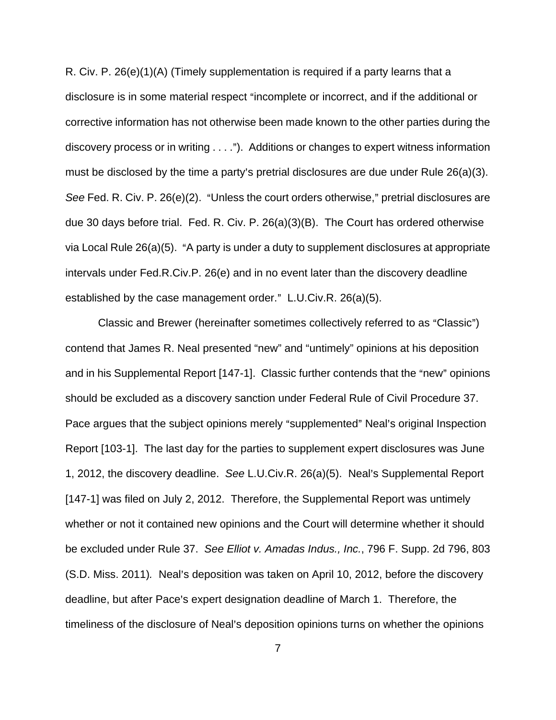R. Civ. P. 26(e)(1)(A) (Timely supplementation is required if a party learns that a disclosure is in some material respect "incomplete or incorrect, and if the additional or corrective information has not otherwise been made known to the other parties during the discovery process or in writing  $\dots$ "). Additions or changes to expert witness information must be disclosed by the time a party's pretrial disclosures are due under Rule  $26(a)(3)$ . See Fed. R. Civ. P.  $26(e)(2)$ . "Unless the court orders otherwise," pretrial disclosures are due 30 days before trial. Fed. R. Civ. P. 26(a)(3)(B). The Court has ordered otherwise via Local Rule  $26(a)(5)$ . "A party is under a duty to supplement disclosures at appropriate intervals under Fed.R.Civ.P. 26(e) and in no event later than the discovery deadline established by the case management order."  $L.U.Civ.R. 26(a)(5)$ .

Classic and Brewer (hereinafter sometimes collectively referred to as "Classic") contend that James R. Neal presented "new" and "untimely" opinions at his deposition and in his Supplemental Report [147-1]. Classic further contends that the "new" opinions should be excluded as a discovery sanction under Federal Rule of Civil Procedure 37. Pace argues that the subject opinions merely "supplemented" Neal's original Inspection Report [103-1]. The last day for the parties to supplement expert disclosures was June 1, 2012, the discovery deadline. See L.U.Civ.R. 26(a)(5). Neal's Supplemental Report [147-1] was filed on July 2, 2012. Therefore, the Supplemental Report was untimely whether or not it contained new opinions and the Court will determine whether it should be excluded under Rule 37. See Elliot v. Amadas Indus., Inc., 796 F. Supp. 2d 796, 803 (S.D. Miss. 2011). Neal's deposition was taken on April 10, 2012, before the discovery deadline, but after Pace's expert designation deadline of March 1. Therefore, the timeliness of the disclosure of Neal's deposition opinions turns on whether the opinions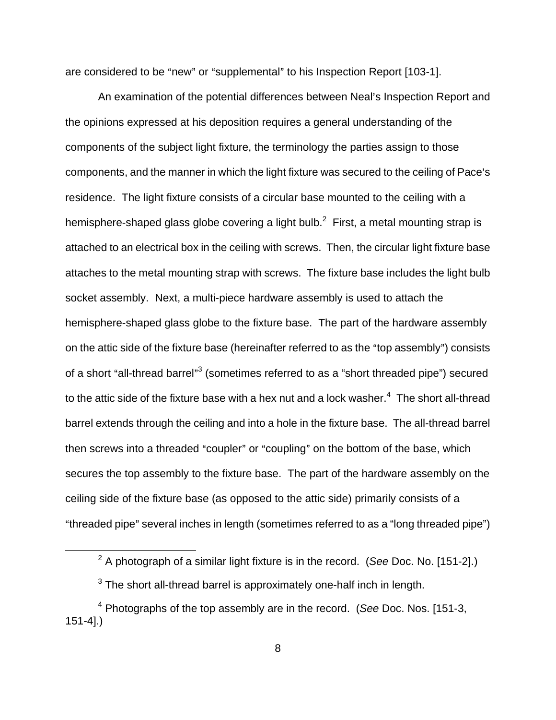are considered to be "new" or "supplemental" to his Inspection Report [103-1].

An examination of the potential differences between Neal's Inspection Report and the opinions expressed at his deposition requires a general understanding of the components of the subject light fixture, the terminology the parties assign to those components, and the manner in which the light fixture was secured to the ceiling of Pace's residence. The light fixture consists of a circular base mounted to the ceiling with a hemisphere-shaped glass globe covering a light bulb.<sup>2</sup> First, a metal mounting strap is attached to an electrical box in the ceiling with screws. Then, the circular light fixture base attaches to the metal mounting strap with screws. The fixture base includes the light bulb socket assembly. Next, a multi-piece hardware assembly is used to attach the hemisphere-shaped glass globe to the fixture base. The part of the hardware assembly on the attic side of the fixture base (hereinafter referred to as the "top assembly") consists of a short "all-thread barrel"<sup>3</sup> (sometimes referred to as a "short threaded pipe") secured to the attic side of the fixture base with a hex nut and a lock washer. $4$  The short all-thread barrel extends through the ceiling and into a hole in the fixture base. The all-thread barrel then screws into a threaded "coupler" or "coupling" on the bottom of the base, which secures the top assembly to the fixture base. The part of the hardware assembly on the ceiling side of the fixture base (as opposed to the attic side) primarily consists of a "threaded pipe" several inches in length (sometimes referred to as a "long threaded pipe")

 $\overline{a}$ 

<sup>&</sup>lt;sup>2</sup> A photograph of a similar light fixture is in the record. (See Doc. No. [151-2].)

 $3$  The short all-thread barrel is approximately one-half inch in length.

 $4$  Photographs of the top assembly are in the record. (See Doc. Nos. [151-3, 151-4].)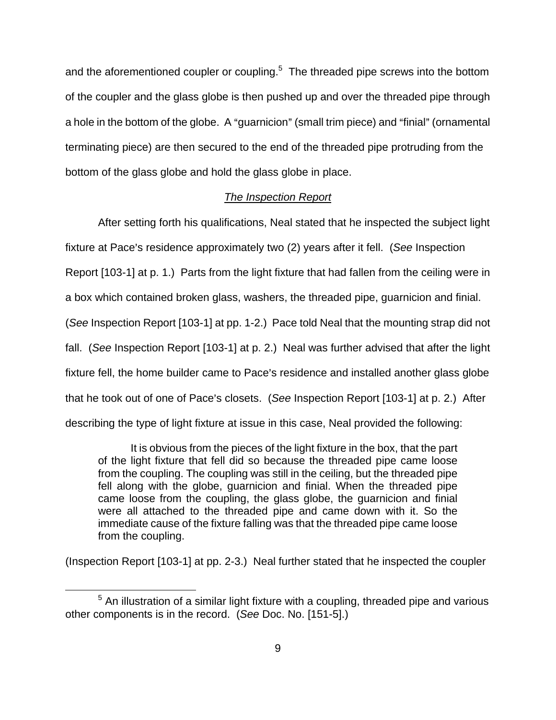and the aforementioned coupler or coupling.<sup>5</sup> The threaded pipe screws into the bottom of the coupler and the glass globe is then pushed up and over the threaded pipe through a hole in the bottom of the globe. A "guarnicion" (small trim piece) and "finial" (ornamental terminating piece) are then secured to the end of the threaded pipe protruding from the bottom of the glass globe and hold the glass globe in place.

### The Inspection Report

After setting forth his qualifications, Neal stated that he inspected the subject light fixture at Pace's residence approximately two (2) years after it fell. (See Inspection Report [103-1] at p. 1.) Parts from the light fixture that had fallen from the ceiling were in a box which contained broken glass, washers, the threaded pipe, guarnicion and finial. (See Inspection Report [103-1] at pp. 1-2.) Pace told Neal that the mounting strap did not fall. (See Inspection Report [103-1] at p. 2.) Neal was further advised that after the light fixture fell, the home builder came to Pace's residence and installed another glass globe that he took out of one of Pace's closets. (See Inspection Report [103-1] at p. 2.) After describing the type of light fixture at issue in this case, Neal provided the following:

It is obvious from the pieces of the light fixture in the box, that the part of the light fixture that fell did so because the threaded pipe came loose from the coupling. The coupling was still in the ceiling, but the threaded pipe fell along with the globe, guarnicion and finial. When the threaded pipe came loose from the coupling, the glass globe, the guarnicion and finial were all attached to the threaded pipe and came down with it. So the immediate cause of the fixture falling was that the threaded pipe came loose from the coupling.

(Inspection Report [103-1] at pp. 2-3.) Neal further stated that he inspected the coupler

 $\overline{a}$ 

 $5$  An illustration of a similar light fixture with a coupling, threaded pipe and various other components is in the record. (See Doc. No. [151-5].)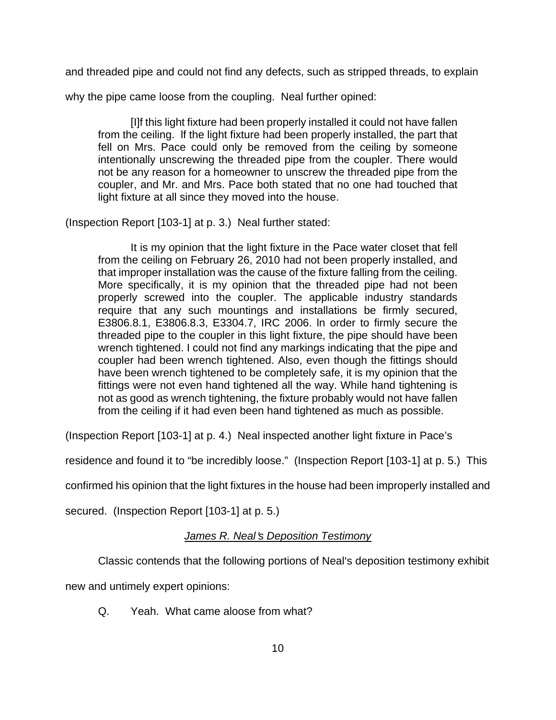and threaded pipe and could not find any defects, such as stripped threads, to explain

why the pipe came loose from the coupling. Neal further opined:

[I]f this light fixture had been properly installed it could not have fallen from the ceiling. lf the light fixture had been properly installed, the part that fell on Mrs. Pace could only be removed from the ceiling by someone intentionally unscrewing the threaded pipe from the coupler. There would not be any reason for a homeowner to unscrew the threaded pipe from the coupler, and Mr. and Mrs. Pace both stated that no one had touched that light fixture at all since they moved into the house.

(Inspection Report [103-1] at p. 3.) Neal further stated:

It is my opinion that the light fixture in the Pace water closet that fell from the ceiling on February 26, 2010 had not been properly installed, and that improper installation was the cause of the fixture falling from the ceiling. More specifically, it is my opinion that the threaded pipe had not been properly screwed into the coupler. The applicable industry standards require that any such mountings and installations be firmly secured, E3806.8.1, E3806.8.3, E3304.7, IRC 2006. ln order to firmly secure the threaded pipe to the coupler in this light fixture, the pipe should have been wrench tightened. I could not find any markings indicating that the pipe and coupler had been wrench tightened. Also, even though the fittings should have been wrench tightened to be completely safe, it is my opinion that the fittings were not even hand tightened all the way. While hand tightening is not as good as wrench tightening, the fixture probably would not have fallen from the ceiling if it had even been hand tightened as much as possible.

(Inspection Report [103-1] at p. 4.) Neal inspected another light fixture in Pace's

residence and found it to "be incredibly loose." (Inspection Report [103-1] at p. 5.) This

confirmed his opinion that the light fixtures in the house had been improperly installed and

secured. (Inspection Report [103-1] at p. 5.)

# James R. Neal's Deposition Testimony

Classic contends that the following portions of Neal's deposition testimony exhibit

new and untimely expert opinions:

Q. Yeah. What came aloose from what?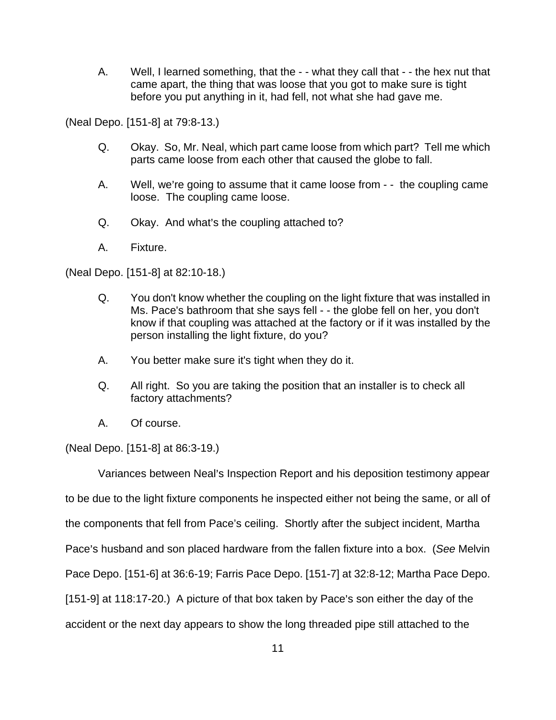A. Well, I learned something, that the - - what they call that - - the hex nut that came apart, the thing that was loose that you got to make sure is tight before you put anything in it, had fell, not what she had gave me.

(Neal Depo. [151-8] at 79:8-13.)

- Q. Okay. So, Mr. Neal, which part came loose from which part? Tell me which parts came loose from each other that caused the globe to fall.
- A. Well, we're going to assume that it came loose from - the coupling came loose. The coupling came loose.
- Q. Okay. And what's the coupling attached to?
- A. Fixture.

(Neal Depo. [151-8] at 82:10-18.)

- Q. You don't know whether the coupling on the light fixture that was installed in Ms. Pace's bathroom that she says fell - - the globe fell on her, you don't know if that coupling was attached at the factory or if it was installed by the person installing the light fixture, do you?
- A. You better make sure it's tight when they do it.
- Q. All right. So you are taking the position that an installer is to check all factory attachments?
- A. Of course.

(Neal Depo. [151-8] at 86:3-19.)

Variances between Neal's Inspection Report and his deposition testimony appear to be due to the light fixture components he inspected either not being the same, or all of the components that fell from Pace's ceiling. Shortly after the subject incident, Martha Pace's husband and son placed hardware from the fallen fixture into a box. (See Melvin Pace Depo. [151-6] at 36:6-19; Farris Pace Depo. [151-7] at 32:8-12; Martha Pace Depo.  $[151-9]$  at 118:17-20.) A picture of that box taken by Pace's son either the day of the accident or the next day appears to show the long threaded pipe still attached to the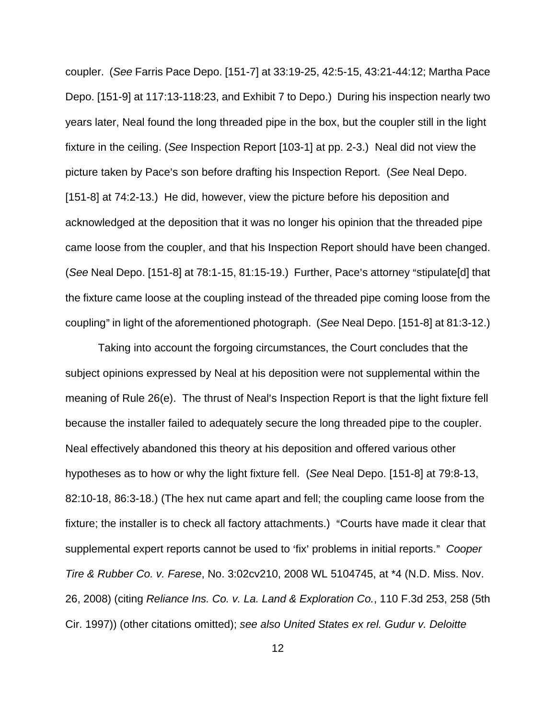coupler. (See Farris Pace Depo. [151-7] at 33:19-25, 42:5-15, 43:21-44:12; Martha Pace Depo. [151-9] at 117:13-118:23, and Exhibit 7 to Depo.) During his inspection nearly two years later, Neal found the long threaded pipe in the box, but the coupler still in the light fixture in the ceiling. (See Inspection Report [103-1] at pp. 2-3.) Neal did not view the picture taken by Pace's son before drafting his Inspection Report. (See Neal Depo. [151-8] at 74:2-13.) He did, however, view the picture before his deposition and acknowledged at the deposition that it was no longer his opinion that the threaded pipe came loose from the coupler, and that his Inspection Report should have been changed.  $(See$  Neal Depo.  $[151-8]$  at 78:1-15, 81:15-19.) Further, Pace's attorney "stipulate[d] that the fixture came loose at the coupling instead of the threaded pipe coming loose from the coupling" in light of the aforementioned photograph. (See Neal Depo. [151-8] at 81:3-12.)

Taking into account the forgoing circumstances, the Court concludes that the subject opinions expressed by Neal at his deposition were not supplemental within the meaning of Rule  $26(e)$ . The thrust of Neal's Inspection Report is that the light fixture fell because the installer failed to adequately secure the long threaded pipe to the coupler. Neal effectively abandoned this theory at his deposition and offered various other hypotheses as to how or why the light fixture fell. (See Neal Depo. [151-8] at 79:8-13, 82:10-18, 86:3-18.) (The hex nut came apart and fell; the coupling came loose from the fixture; the installer is to check all factory attachments.) "Courts have made it clear that supplemental expert reports cannot be used to 'fix' problems in initial reports." Cooper Tire & Rubber Co. v. Farese, No. 3:02cv210, 2008 WL 5104745, at \*4 (N.D. Miss. Nov. 26, 2008) (citing Reliance Ins. Co. v. La. Land & Exploration Co., 110 F.3d 253, 258 (5th Cir. 1997)) (other citations omitted); see also United States ex rel. Gudur v. Deloitte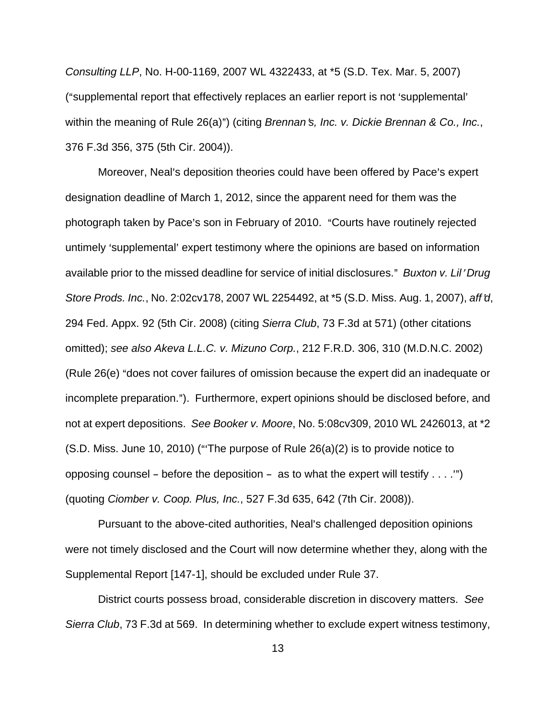Consulting LLP, No. H-00-1169, 2007 WL 4322433, at \*5 (S.D. Tex. Mar. 5, 2007) ("supplemental report that effectively replaces an earlier report is not 'supplemental' within the meaning of Rule  $26(a)$ ") (citing Brennan's, Inc. v. Dickie Brennan & Co., Inc., 376 F.3d 356, 375 (5th Cir. 2004)).

Moreover, Neal's deposition theories could have been offered by Pace's expert designation deadline of March 1, 2012, since the apparent need for them was the photograph taken by Pace's son in February of 2010. "Courts have routinely rejected untimely 'supplemental' expert testimony where the opinions are based on information available prior to the missed deadline for service of initial disclosures." Buxton v. Lil' Drug Store Prods. Inc., No. 2:02cv178, 2007 WL 2254492, at \*5 (S.D. Miss. Aug. 1, 2007), aff'd, 294 Fed. Appx. 92 (5th Cir. 2008) (citing Sierra Club, 73 F.3d at 571) (other citations omitted); see also Akeva L.L.C. v. Mizuno Corp., 212 F.R.D. 306, 310 (M.D.N.C. 2002) (Rule 26(e) "does not cover failures of omission because the expert did an inadequate or incomplete preparation."). Furthermore, expert opinions should be disclosed before, and not at expert depositions. See Booker v. Moore, No. 5:08cv309, 2010 WL 2426013, at \*2  $(S.D.$  Miss. June 10, 2010) ("The purpose of Rule  $26(a)(2)$  is to provide notice to opposing counsel – before the deposition – as to what the expert will testify  $\dots$ .") (quoting Ciomber v. Coop. Plus, Inc., 527 F.3d 635, 642 (7th Cir. 2008)).

Pursuant to the above-cited authorities, Neal's challenged deposition opinions were not timely disclosed and the Court will now determine whether they, along with the Supplemental Report [147-1], should be excluded under Rule 37.

District courts possess broad, considerable discretion in discovery matters. See Sierra Club, 73 F.3d at 569. In determining whether to exclude expert witness testimony,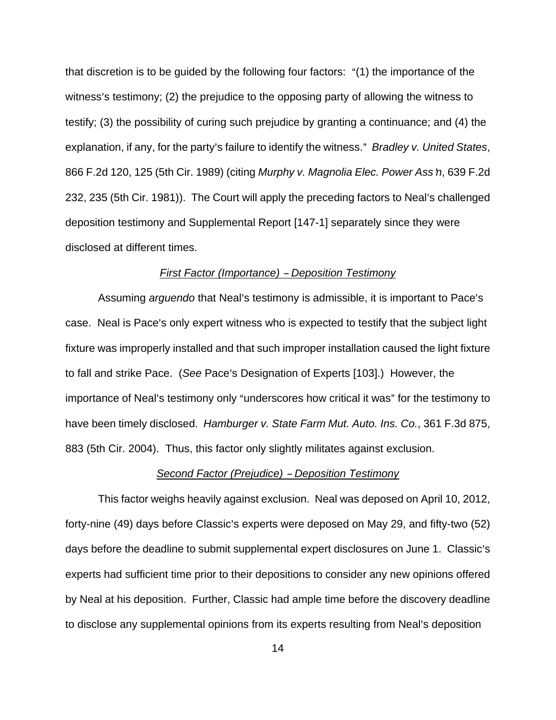that discretion is to be guided by the following four factors:  $\cdot$  (1) the importance of the witness's testimony; (2) the prejudice to the opposing party of allowing the witness to testify; (3) the possibility of curing such prejudice by granting a continuance; and (4) the explanation, if any, for the party's failure to identify the witness." Bradley v. United States, 866 F.2d 120, 125 (5th Cir. 1989) (citing Murphy v. Magnolia Elec. Power Ass'n, 639 F.2d 232, 235 (5th Cir. 1981)). The Court will apply the preceding factors to Neal's challenged deposition testimony and Supplemental Report [147-1] separately since they were disclosed at different times.

#### First Factor (Importance) - Deposition Testimony

Assuming arguendo that Neal's testimony is admissible, it is important to Pace's case. Neal is Pace's only expert witness who is expected to testify that the subject light fixture was improperly installed and that such improper installation caused the light fixture to fall and strike Pace. (See Pace's Designation of Experts [103].) However, the importance of Neal's testimony only "underscores how critical it was" for the testimony to have been timely disclosed. Hamburger v. State Farm Mut. Auto. Ins. Co., 361 F.3d 875, 883 (5th Cir. 2004). Thus, this factor only slightly militates against exclusion.

#### Second Factor (Prejudice) - Deposition Testimony

This factor weighs heavily against exclusion. Neal was deposed on April 10, 2012, forty-nine (49) days before Classic's experts were deposed on May 29, and fifty-two (52) days before the deadline to submit supplemental expert disclosures on June 1. Classic's experts had sufficient time prior to their depositions to consider any new opinions offered by Neal at his deposition. Further, Classic had ample time before the discovery deadline to disclose any supplemental opinions from its experts resulting from Neal's deposition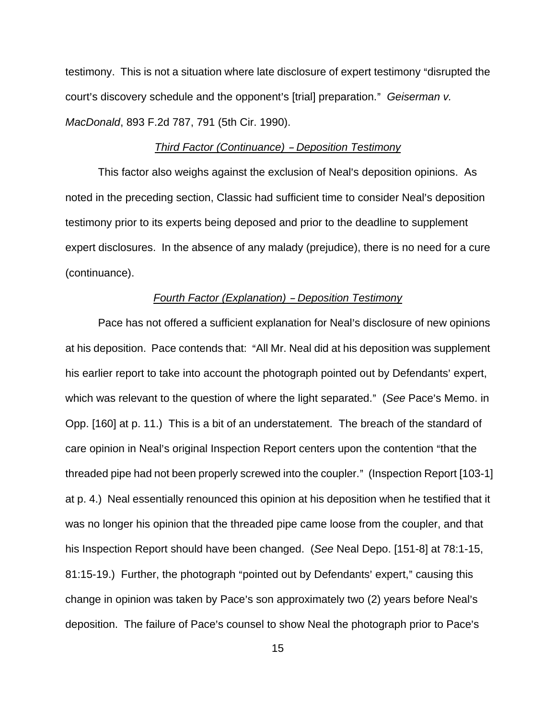testimony. This is not a situation where late disclosure of expert testimony "disrupted the court's discovery schedule and the opponent's [trial] preparation." Geiserman v. MacDonald, 893 F.2d 787, 791 (5th Cir. 1990).

#### Third Factor (Continuance) - Deposition Testimony

This factor also weighs against the exclusion of Neal's deposition opinions. As noted in the preceding section, Classic had sufficient time to consider Neal's deposition testimony prior to its experts being deposed and prior to the deadline to supplement expert disclosures. In the absence of any malady (prejudice), there is no need for a cure (continuance).

#### Fourth Factor (Explanation) - Deposition Testimony

Pace has not offered a sufficient explanation for Neal's disclosure of new opinions at his deposition. Pace contends that: "All Mr. Neal did at his deposition was supplement his earlier report to take into account the photograph pointed out by Defendants' expert, which was relevant to the question of where the light separated." (See Pace's Memo. in Opp. [160] at p. 11.) This is a bit of an understatement. The breach of the standard of care opinion in Neal's original Inspection Report centers upon the contention "that the threaded pipe had not been properly screwed into the coupler." (Inspection Report [103-1] at p. 4.) Neal essentially renounced this opinion at his deposition when he testified that it was no longer his opinion that the threaded pipe came loose from the coupler, and that his Inspection Report should have been changed. (See Neal Depo. [151-8] at 78:1-15, 81:15-19.) Further, the photograph "pointed out by Defendants' expert," causing this change in opinion was taken by Pace's son approximately two (2) years before Neal's deposition. The failure of Pace's counsel to show Neal the photograph prior to Pace's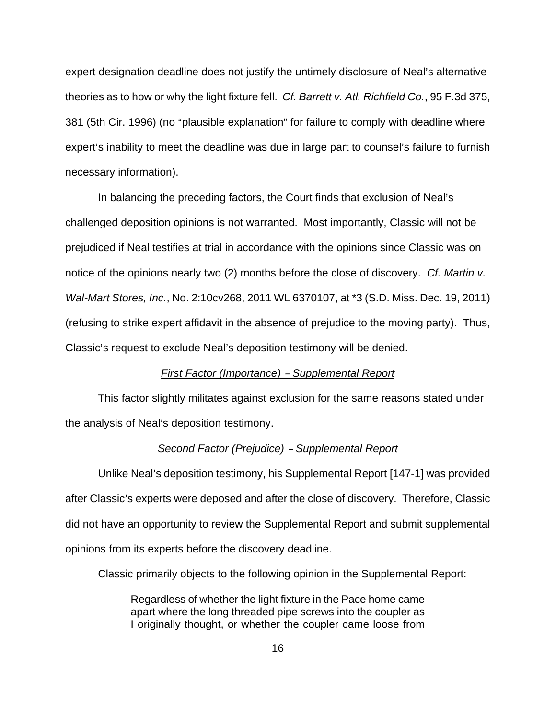expert designation deadline does not justify the untimely disclosure of Neal's alternative theories as to how or why the light fixture fell. Cf. Barrett v. Atl. Richfield Co., 95 F.3d 375, 381 (5th Cir. 1996) (no "plausible explanation" for failure to comply with deadline where expert's inability to meet the deadline was due in large part to counsel's failure to furnish necessary information).

In balancing the preceding factors, the Court finds that exclusion of Neal's challenged deposition opinions is not warranted. Most importantly, Classic will not be prejudiced if Neal testifies at trial in accordance with the opinions since Classic was on notice of the opinions nearly two (2) months before the close of discovery. *Cf. Martin v.* Wal-Mart Stores, Inc., No. 2:10cv268, 2011 WL 6370107, at \*3 (S.D. Miss. Dec. 19, 2011) (refusing to strike expert affidavit in the absence of prejudice to the moving party). Thus, Classic's request to exclude Neal's deposition testimony will be denied.

#### First Factor (Importance) - Supplemental Report

This factor slightly militates against exclusion for the same reasons stated under the analysis of Neal's deposition testimony.

#### Second Factor (Prejudice) - Supplemental Report

Unlike Neal's deposition testimony, his Supplemental Report [147-1] was provided after Classic's experts were deposed and after the close of discovery. Therefore, Classic did not have an opportunity to review the Supplemental Report and submit supplemental opinions from its experts before the discovery deadline.

Classic primarily objects to the following opinion in the Supplemental Report:

Regardless of whether the light fixture in the Pace home came apart where the long threaded pipe screws into the coupler as I originally thought, or whether the coupler came loose from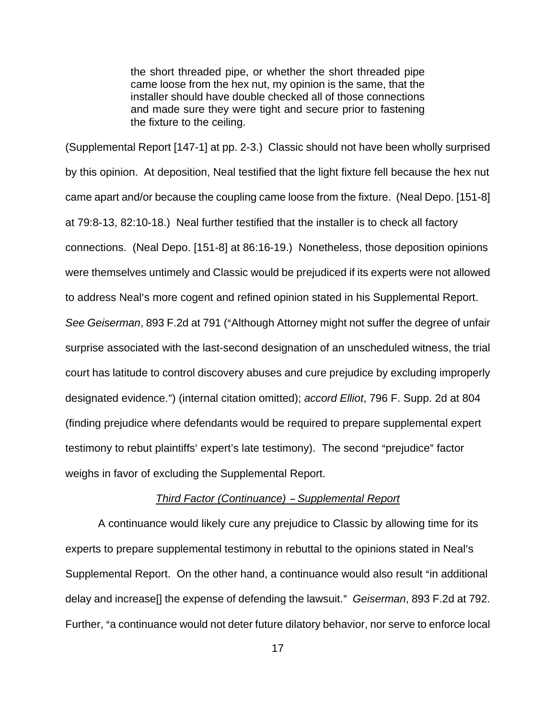the short threaded pipe, or whether the short threaded pipe came loose from the hex nut, my opinion is the same, that the installer should have double checked all of those connections and made sure they were tight and secure prior to fastening the fixture to the ceiling.

(Supplemental Report [147-1] at pp. 2-3.) Classic should not have been wholly surprised by this opinion. At deposition, Neal testified that the light fixture fell because the hex nut came apart and/or because the coupling came loose from the fixture. (Neal Depo. [151-8] at 79:8-13, 82:10-18.) Neal further testified that the installer is to check all factory connections. (Neal Depo. [151-8] at 86:16-19.) Nonetheless, those deposition opinions were themselves untimely and Classic would be prejudiced if its experts were not allowed to address Neal's more cogent and refined opinion stated in his Supplemental Report. See Geiserman, 893 F.2d at 791 ("Although Attorney might not suffer the degree of unfair surprise associated with the last-second designation of an unscheduled witness, the trial court has latitude to control discovery abuses and cure prejudice by excluding improperly designated evidence.") (internal citation omitted); accord Elliot, 796 F. Supp. 2d at 804 (finding prejudice where defendants would be required to prepare supplemental expert testimony to rebut plaintiffs' expert's late testimony). The second "prejudice" factor weighs in favor of excluding the Supplemental Report.

### Third Factor (Continuance) - Supplemental Report

A continuance would likely cure any prejudice to Classic by allowing time for its experts to prepare supplemental testimony in rebuttal to the opinions stated in Neal's Supplemental Report. On the other hand, a continuance would also result "in additional delay and increase<sup>[]</sup> the expense of defending the lawsuit." Geiserman, 893 F.2d at 792. Further, "a continuance would not deter future dilatory behavior, nor serve to enforce local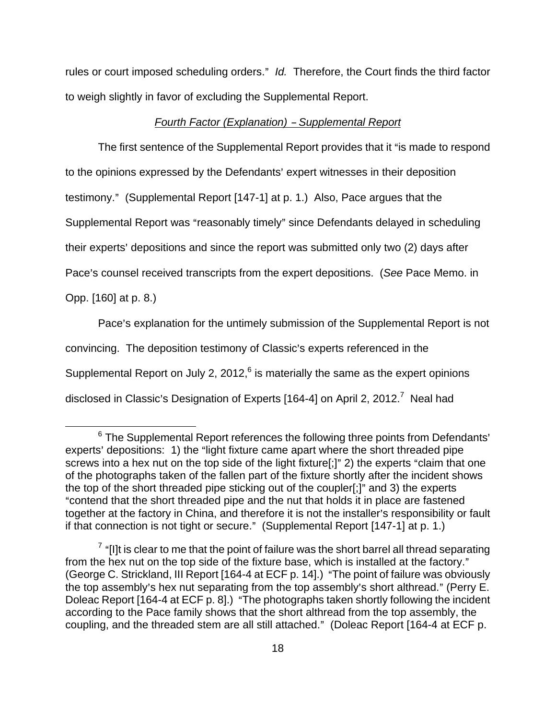rules or court imposed scheduling orders." Id. Therefore, the Court finds the third factor to weigh slightly in favor of excluding the Supplemental Report.

#### Fourth Factor (Explanation) - Supplemental Report

The first sentence of the Supplemental Report provides that it "is made to respond to the opinions expressed by the Defendants' expert witnesses in their deposition testimony." (Supplemental Report [147-1] at p. 1.) Also, Pace argues that the Supplemental Report was "reasonably timely" since Defendants delayed in scheduling their experts' depositions and since the report was submitted only two (2) days after

Pace's counsel received transcripts from the expert depositions. (See Pace Memo. in

Opp. [160] at p. 8.)

1

Pace's explanation for the untimely submission of the Supplemental Report is not

convincing. The deposition testimony of Classic's experts referenced in the

Supplemental Report on July 2, 2012, $6$  is materially the same as the expert opinions

disclosed in Classic's Designation of Experts [164-4] on April 2, 2012.<sup>7</sup> Neal had

 $6$  The Supplemental Report references the following three points from Defendants' experts' depositions: 1) the "light fixture came apart where the short threaded pipe screws into a hex nut on the top side of the light fixture[;]" 2) the experts "claim that one of the photographs taken of the fallen part of the fixture shortly after the incident shows the top of the short threaded pipe sticking out of the coupler[;]" and 3) the experts "contend that the short threaded pipe and the nut that holds it in place are fastened together at the factory in China, and therefore it is not the installer's responsibility or fault if that connection is not tight or secure." (Supplemental Report  $[147-1]$  at p. 1.)

 $7$  "[I]t is clear to me that the point of failure was the short barrel all thread separating from the hex nut on the top side of the fixture base, which is installed at the factory." (George C. Strickland, III Report [164-4 at ECF p. 14].) "The point of failure was obviously the top assembly's hex nut separating from the top assembly's short althread." (Perry E. Doleac Report [164-4 at ECF p. 8].) "The photographs taken shortly following the incident according to the Pace family shows that the short althread from the top assembly, the coupling, and the threaded stem are all still attached." (Doleac Report [164-4 at ECF p.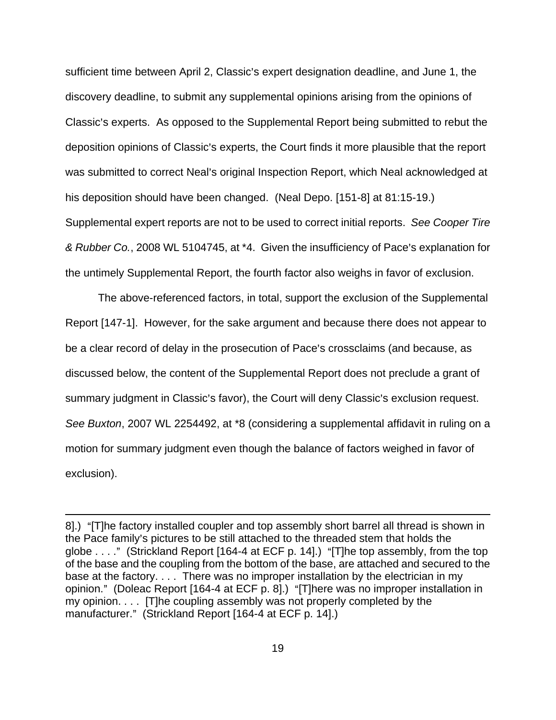sufficient time between April 2, Classic's expert designation deadline, and June 1, the discovery deadline, to submit any supplemental opinions arising from the opinions of Classic's experts. As opposed to the Supplemental Report being submitted to rebut the deposition opinions of Classic's experts, the Court finds it more plausible that the report was submitted to correct Neal's original Inspection Report, which Neal acknowledged at his deposition should have been changed. (Neal Depo. [151-8] at 81:15-19.) Supplemental expert reports are not to be used to correct initial reports. See Cooper Tire & Rubber Co., 2008 WL 5104745, at \*4. Given the insufficiency of Pace's explanation for the untimely Supplemental Report, the fourth factor also weighs in favor of exclusion.

The above-referenced factors, in total, support the exclusion of the Supplemental Report [147-1]. However, for the sake argument and because there does not appear to be a clear record of delay in the prosecution of Pace's crossclaims (and because, as discussed below, the content of the Supplemental Report does not preclude a grant of summary judgment in Classic's favor), the Court will deny Classic's exclusion request. See Buxton, 2007 WL 2254492, at \*8 (considering a supplemental affidavit in ruling on a motion for summary judgment even though the balance of factors weighed in favor of exclusion).

<u>.</u>

<sup>8].) &</sup>quot;[T]he factory installed coupler and top assembly short barrel all thread is shown in the Pace family's pictures to be still attached to the threaded stem that holds the globe  $\dots$ ." (Strickland Report [164-4 at ECF p. 14].) "[T]he top assembly, from the top of the base and the coupling from the bottom of the base, are attached and secured to the base at the factory. . . . There was no improper installation by the electrician in my opinion." (Doleac Report [164-4 at ECF p. 8].) "[T]here was no improper installation in my opinion. . . . [T]he coupling assembly was not properly completed by the manufacturer." (Strickland Report [164-4 at ECF p. 14].)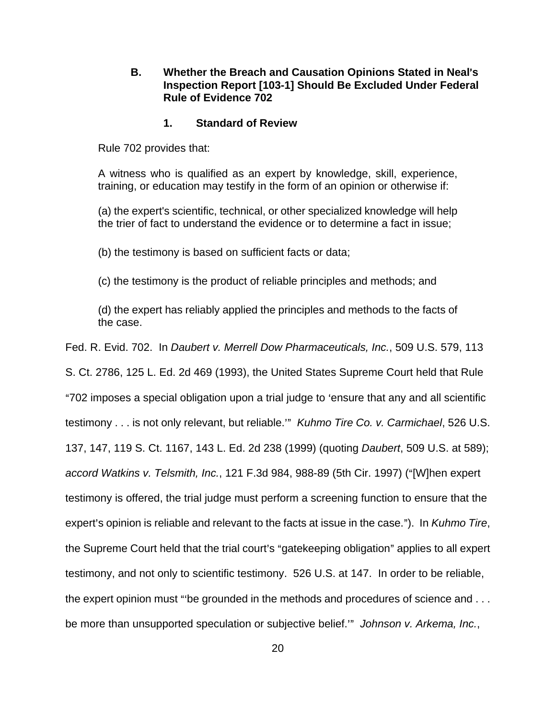## **B.** Whether the Breach and Causation Opinions Stated in Neal's **Inspection Report [103-1] Should Be Excluded Under Federal Rule of Evidence 702**

#### **1. Standard of Review**

Rule 702 provides that:

A witness who is qualified as an expert by knowledge, skill, experience, training, or education may testify in the form of an opinion or otherwise if:

(a) the expert's scientific, technical, or other specialized knowledge will help the trier of fact to understand the evidence or to determine a fact in issue;

(b) the testimony is based on sufficient facts or data;

(c) the testimony is the product of reliable principles and methods; and

(d) the expert has reliably applied the principles and methods to the facts of the case.

Fed. R. Evid. 702. In Daubert v. Merrell Dow Pharmaceuticals, Inc., 509 U.S. 579, 113

S. Ct. 2786, 125 L. Ed. 2d 469 (1993), the United States Supreme Court held that Rule "702 imposes a special obligation upon a trial judge to 'ensure that any and all scientific testimony . . . is not only relevant, but reliable." Kuhmo Tire Co. v. Carmichael, 526 U.S. 137, 147, 119 S. Ct. 1167, 143 L. Ed. 2d 238 (1999) (quoting Daubert, 509 U.S. at 589); accord Watkins v. Telsmith, Inc., 121 F.3d 984, 988-89 (5th Cir. 1997) ("[W]hen expert testimony is offered, the trial judge must perform a screening function to ensure that the expert's opinion is reliable and relevant to the facts at issue in the case."). In Kuhmo Tire, the Supreme Court held that the trial court's "gatekeeping obligation" applies to all expert testimony, and not only to scientific testimony. 526 U.S. at 147. In order to be reliable, the expert opinion must "be grounded in the methods and procedures of science and  $\dots$ be more than unsupported speculation or subjective belief.<sup>30</sup> Johnson v. Arkema, Inc.,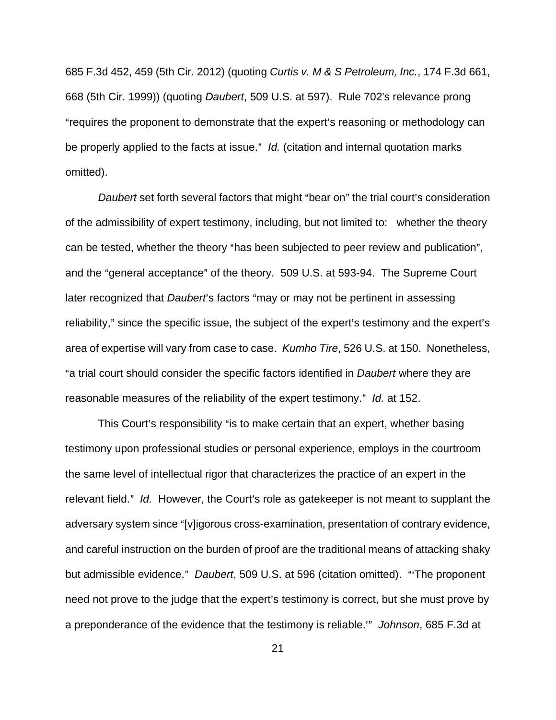685 F.3d 452, 459 (5th Cir. 2012) (quoting Curtis v. M & S Petroleum, Inc., 174 F.3d 661, 668 (5th Cir. 1999)) (quoting Daubert, 509 U.S. at 597). Rule 702's relevance prong "requires the proponent to demonstrate that the expert's reasoning or methodology can be properly applied to the facts at issue." Id. (citation and internal quotation marks omitted).

Daubert set forth several factors that might "bear on" the trial court's consideration of the admissibility of expert testimony, including, but not limited to: whether the theory can be tested, whether the theory "has been subjected to peer review and publication", and the "general acceptance" of the theory. 509 U.S. at 593-94. The Supreme Court later recognized that Daubert's factors "may or may not be pertinent in assessing reliability," since the specific issue, the subject of the expert's testimony and the expert's area of expertise will vary from case to case. Kumho Tire, 526 U.S. at 150. Nonetheless, "a trial court should consider the specific factors identified in *Daubert* where they are reasonable measures of the reliability of the expert testimony." Id. at 152.

This Court's responsibility "is to make certain that an expert, whether basing testimony upon professional studies or personal experience, employs in the courtroom the same level of intellectual rigor that characterizes the practice of an expert in the relevant field." Id. However, the Court's role as gatekeeper is not meant to supplant the adversary system since "[v]igorous cross-examination, presentation of contrary evidence, and careful instruction on the burden of proof are the traditional means of attacking shaky but admissible evidence." Daubert, 509 U.S. at 596 (citation omitted). "The proponent need not prove to the judge that the expert's testimony is correct, but she must prove by a preponderance of the evidence that the testimony is reliable.<sup>30</sup> Johnson, 685 F.3d at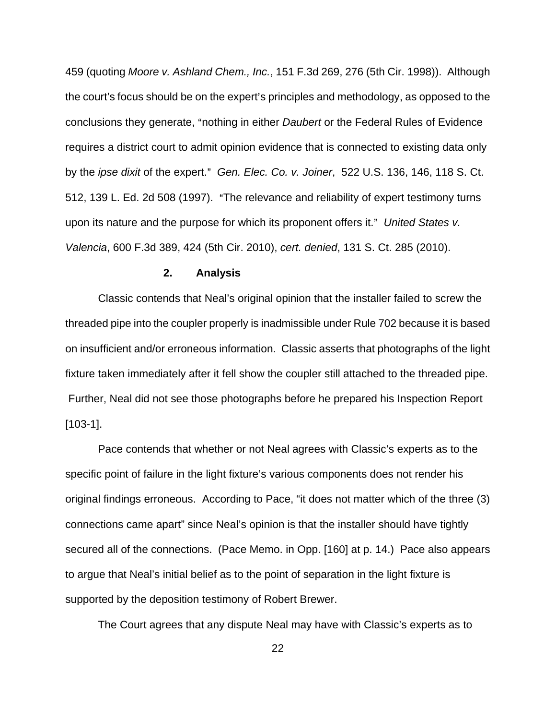459 (quoting Moore v. Ashland Chem., Inc., 151 F.3d 269, 276 (5th Cir. 1998)). Although the court's focus should be on the expert's principles and methodology, as opposed to the conclusions they generate, "nothing in either Daubert or the Federal Rules of Evidence requires a district court to admit opinion evidence that is connected to existing data only by the ipse dixit of the expert." Gen. Elec. Co. v. Joiner, 522 U.S. 136, 146, 118 S. Ct. 512, 139 L. Ed. 2d 508 (1997). "The relevance and reliability of expert testimony turns upon its nature and the purpose for which its proponent offers it." United States  $v$ . Valencia, 600 F.3d 389, 424 (5th Cir. 2010), cert. denied, 131 S. Ct. 285 (2010).

## **2. Analysis**

 Classic contends that Neal's original opinion that the installer failed to screw the threaded pipe into the coupler properly is inadmissible under Rule 702 because it is based on insufficient and/or erroneous information. Classic asserts that photographs of the light fixture taken immediately after it fell show the coupler still attached to the threaded pipe. Further, Neal did not see those photographs before he prepared his Inspection Report [103-1].

 Pace contends that whether or not Neal agrees with Classic's experts as to the specific point of failure in the light fixture's various components does not render his original findings erroneous. According to Pace, "it does not matter which of the three (3) connections came apart" since Neal's opinion is that the installer should have tightly secured all of the connections. (Pace Memo. in Opp. [160] at p. 14.) Pace also appears to argue that Neal's initial belief as to the point of separation in the light fixture is supported by the deposition testimony of Robert Brewer.

The Court agrees that any dispute Neal may have with Classic's experts as to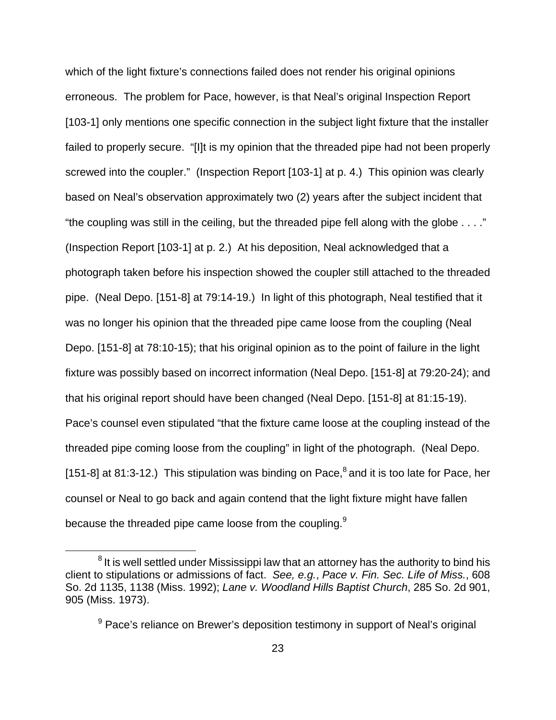which of the light fixture's connections failed does not render his original opinions erroneous. The problem for Pace, however, is that Neal's original Inspection Report [103-1] only mentions one specific connection in the subject light fixture that the installer failed to properly secure. "[I]t is my opinion that the threaded pipe had not been properly screwed into the coupler." (Inspection Report [103-1] at p. 4.) This opinion was clearly based on Neal's observation approximately two (2) years after the subject incident that "the coupling was still in the ceiling, but the threaded pipe fell along with the globe . . . ." (Inspection Report [103-1] at p. 2.) At his deposition, Neal acknowledged that a photograph taken before his inspection showed the coupler still attached to the threaded pipe. (Neal Depo. [151-8] at 79:14-19.) In light of this photograph, Neal testified that it was no longer his opinion that the threaded pipe came loose from the coupling (Neal Depo. [151-8] at 78:10-15); that his original opinion as to the point of failure in the light fixture was possibly based on incorrect information (Neal Depo. [151-8] at 79:20-24); and that his original report should have been changed (Neal Depo. [151-8] at 81:15-19). Pace's counsel even stipulated "that the fixture came loose at the coupling instead of the threaded pipe coming loose from the coupling" in light of the photograph. (Neal Depo. [151-8] at 81:3-12.) This stipulation was binding on Pace, $^8$  and it is too late for Pace, her counsel or Neal to go back and again contend that the light fixture might have fallen because the threaded pipe came loose from the coupling. $9$ 

 $8$  It is well settled under Mississippi law that an attorney has the authority to bind his client to stipulations or admissions of fact. See, e.g., Pace v. Fin. Sec. Life of Miss., 608 So. 2d 1135, 1138 (Miss. 1992); Lane v. Woodland Hills Baptist Church, 285 So. 2d 901, 905 (Miss. 1973).

<sup>&</sup>lt;sup>9</sup> Pace's reliance on Brewer's deposition testimony in support of Neal's original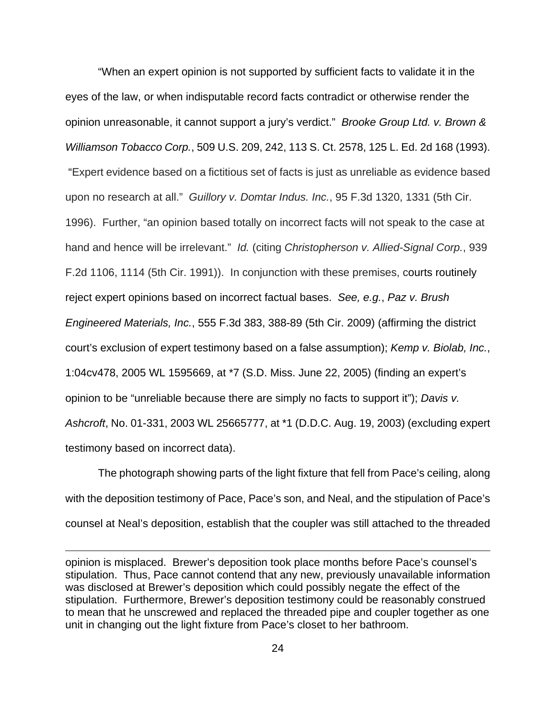"When an expert opinion is not supported by sufficient facts to validate it in the eyes of the law, or when indisputable record facts contradict or otherwise render the opinion unreasonable, it cannot support a jury's verdict." Brooke Group Ltd. v. Brown & Williamson Tobacco Corp., 509 U.S. 209, 242, 113 S. Ct. 2578, 125 L. Ed. 2d 168 (1993). "Expert evidence based on a fictitious set of facts is just as unreliable as evidence based upon no research at all." Guillory v. Domtar Indus. Inc., 95 F.3d 1320, 1331 (5th Cir. 1996). Further, "an opinion based totally on incorrect facts will not speak to the case at hand and hence will be irrelevant." Id. (citing Christopherson v. Allied-Signal Corp., 939 F.2d 1106, 1114 (5th Cir. 1991)). In conjunction with these premises, courts routinely reject expert opinions based on incorrect factual bases. See, e.g., Paz v. Brush Engineered Materials, Inc., 555 F.3d 383, 388-89 (5th Cir. 2009) (affirming the district court's exclusion of expert testimony based on a false assumption); Kemp v. Biolab, Inc., 1:04cv478, 2005 WL 1595669, at \*7 (S.D. Miss. June 22, 2005) (finding an expert's opinion to be "unreliable because there are simply no facts to support it"); Davis v. Ashcroft, No. 01-331, 2003 WL 25665777, at \*1 (D.D.C. Aug. 19, 2003) (excluding expert testimony based on incorrect data).

 The photograph showing parts of the light fixture that fell from Pace's ceiling, along with the deposition testimony of Pace, Pace's son, and Neal, and the stipulation of Pace's counsel at Neal's deposition, establish that the coupler was still attached to the threaded

opinion is misplaced. Brewer's deposition took place months before Pace's counsel's stipulation. Thus, Pace cannot contend that any new, previously unavailable information was disclosed at Brewer's deposition which could possibly negate the effect of the stipulation. Furthermore, Brewer's deposition testimony could be reasonably construed to mean that he unscrewed and replaced the threaded pipe and coupler together as one unit in changing out the light fixture from Pace's closet to her bathroom.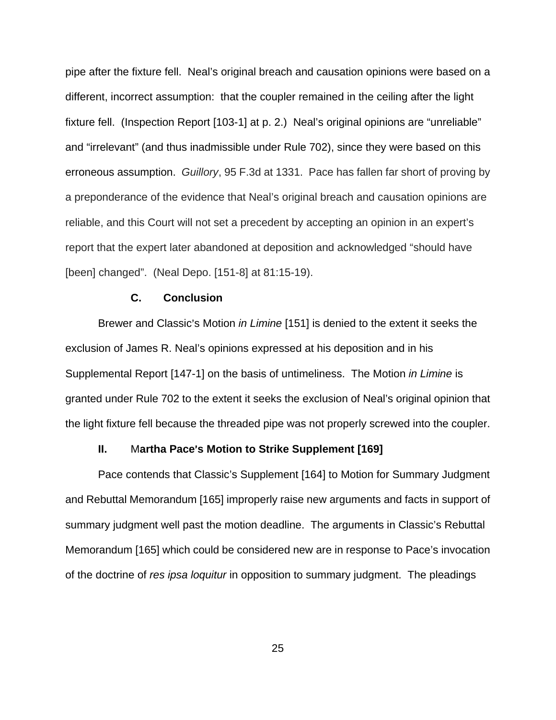pipe after the fixture fell. Neal's original breach and causation opinions were based on a different, incorrect assumption: that the coupler remained in the ceiling after the light fixture fell. (Inspection Report [103-1] at p. 2.) Neal's original opinions are "unreliable" and "irrelevant" (and thus inadmissible under Rule 702), since they were based on this erroneous assumption. Guillory, 95 F.3d at 1331. Pace has fallen far short of proving by a preponderance of the evidence that Neal's original breach and causation opinions are reliable, and this Court will not set a precedent by accepting an opinion in an expert's report that the expert later abandoned at deposition and acknowledged "should have [been] changed". (Neal Depo. [151-8] at 81:15-19).

### **C. Conclusion**

Brewer and Classic's Motion in Limine [151] is denied to the extent it seeks the exclusion of James R. Neal's opinions expressed at his deposition and in his Supplemental Report [147-1] on the basis of untimeliness. The Motion in Limine is granted under Rule 702 to the extent it seeks the exclusion of Neal's original opinion that the light fixture fell because the threaded pipe was not properly screwed into the coupler.

#### **II.** Martha Pace's Motion to Strike Supplement [169]

Pace contends that Classic's Supplement [164] to Motion for Summary Judgment and Rebuttal Memorandum [165] improperly raise new arguments and facts in support of summary judgment well past the motion deadline. The arguments in Classic's Rebuttal Memorandum [165] which could be considered new are in response to Pace's invocation of the doctrine of res ipsa loquitur in opposition to summary judgment. The pleadings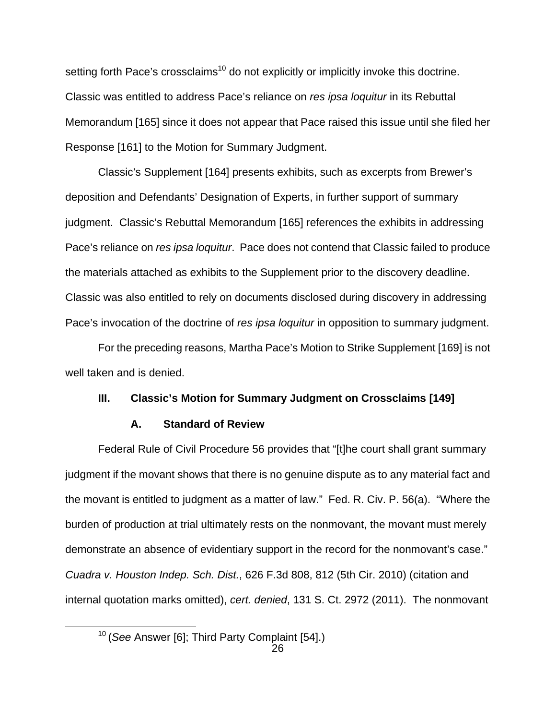setting forth Pace's crossclaims<sup>10</sup> do not explicitly or implicitly invoke this doctrine. Classic was entitled to address Pace's reliance on res ipsa loquitur in its Rebuttal Memorandum [165] since it does not appear that Pace raised this issue until she filed her Response [161] to the Motion for Summary Judgment.

Classic's Supplement [164] presents exhibits, such as excerpts from Brewer's deposition and Defendants' Designation of Experts, in further support of summary judgment. Classic's Rebuttal Memorandum [165] references the exhibits in addressing Pace's reliance on res ipsa loquitur. Pace does not contend that Classic failed to produce the materials attached as exhibits to the Supplement prior to the discovery deadline. Classic was also entitled to rely on documents disclosed during discovery in addressing Pace's invocation of the doctrine of res ipsa loquitur in opposition to summary judgment.

 For the preceding reasons, Martha Pace's Motion to Strike Supplement [169] is not well taken and is denied.

## **III. Classic's Motion for Summary Judgment on Crossclaims [149]**

## **A. Standard of Review**

Federal Rule of Civil Procedure 56 provides that "[t]he court shall grant summary judgment if the movant shows that there is no genuine dispute as to any material fact and the movant is entitled to judgment as a matter of law." Fed. R. Civ. P. 56(a). "Where the burden of production at trial ultimately rests on the nonmovant, the movant must merely demonstrate an absence of evidentiary support in the record for the nonmovant's case." Cuadra v. Houston Indep. Sch. Dist., 626 F.3d 808, 812 (5th Cir. 2010) (citation and internal quotation marks omitted), cert. denied, 131 S. Ct. 2972 (2011). The nonmovant

<sup>&</sup>lt;sup>10</sup> (See Answer [6]; Third Party Complaint [54].)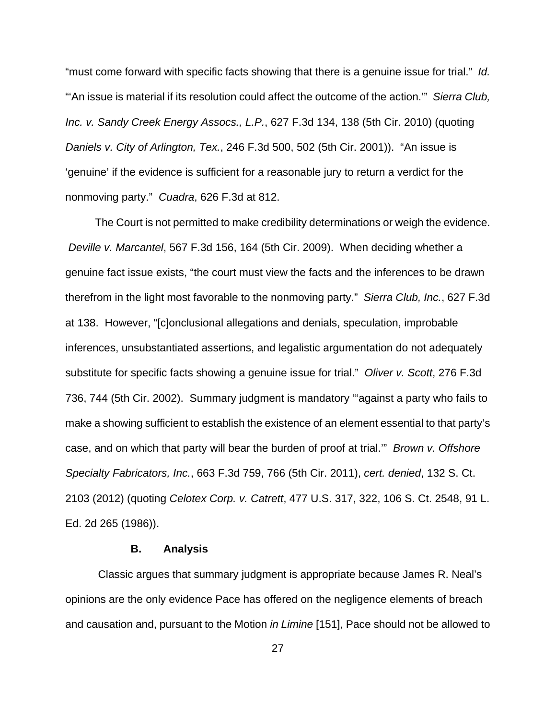"must come forward with specific facts showing that there is a genuine issue for trial." Id. "An issue is material if its resolution could affect the outcome of the action."" Sierra Club, Inc. v. Sandy Creek Energy Assocs., L.P., 627 F.3d 134, 138 (5th Cir. 2010) (quoting Daniels v. City of Arlington, Tex., 246 F.3d 500, 502 (5th Cir. 2001)). "An issue is 'genuine' if the evidence is sufficient for a reasonable jury to return a verdict for the nonmoving party." Cuadra, 626 F.3d at 812.

 The Court is not permitted to make credibility determinations or weigh the evidence. Deville v. Marcantel, 567 F.3d 156, 164 (5th Cir. 2009). When deciding whether a genuine fact issue exists, "the court must view the facts and the inferences to be drawn therefrom in the light most favorable to the nonmoving party." Sierra Club, Inc., 627 F.3d at 138. However, "[c]onclusional allegations and denials, speculation, improbable inferences, unsubstantiated assertions, and legalistic argumentation do not adequately substitute for specific facts showing a genuine issue for trial." Oliver v. Scott, 276 F.3d 736, 744 (5th Cir. 2002). Summary judgment is mandatory "'against a party who fails to make a showing sufficient to establish the existence of an element essential to that party's case, and on which that party will bear the burden of proof at trial.'" Brown v. Offshore Specialty Fabricators, Inc., 663 F.3d 759, 766 (5th Cir. 2011), cert. denied, 132 S. Ct. 2103 (2012) (quoting Celotex Corp. v. Catrett, 477 U.S. 317, 322, 106 S. Ct. 2548, 91 L. Ed. 2d 265 (1986)).

## **B. Analysis**

 Classic argues that summary judgment is appropriate because James R. Neal's opinions are the only evidence Pace has offered on the negligence elements of breach and causation and, pursuant to the Motion in Limine [151], Pace should not be allowed to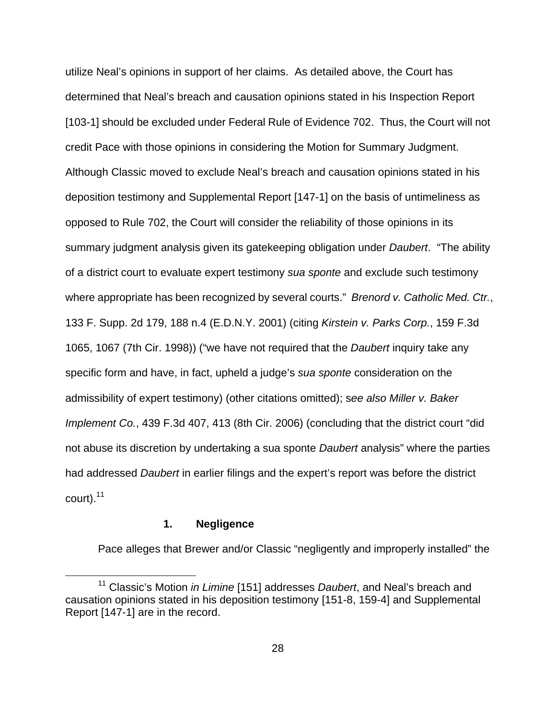utilize Neal's opinions in support of her claims. As detailed above, the Court has determined that Neal's breach and causation opinions stated in his Inspection Report [103-1] should be excluded under Federal Rule of Evidence 702. Thus, the Court will not credit Pace with those opinions in considering the Motion for Summary Judgment. Although Classic moved to exclude Neal's breach and causation opinions stated in his deposition testimony and Supplemental Report [147-1] on the basis of untimeliness as opposed to Rule 702, the Court will consider the reliability of those opinions in its summary judgment analysis given its gatekeeping obligation under *Daubert*. "The ability of a district court to evaluate expert testimony sua sponte and exclude such testimony where appropriate has been recognized by several courts." Brenord v. Catholic Med. Ctr., 133 F. Supp. 2d 179, 188 n.4 (E.D.N.Y. 2001) (citing Kirstein v. Parks Corp., 159 F.3d 1065, 1067 (7th Cir. 1998)) ("we have not required that the *Daubert* inquiry take any specific form and have, in fact, upheld a judge's sua sponte consideration on the admissibility of expert testimony) (other citations omitted); see also Miller v. Baker Implement Co., 439 F.3d 407, 413 (8th Cir. 2006) (concluding that the district court "did not abuse its discretion by undertaking a sua sponte *Daubert* analysis" where the parties had addressed Daubert in earlier filings and the expert's report was before the district court). $11$ 

## **1. Negligence**

 $\overline{a}$ 

Pace alleges that Brewer and/or Classic "negligently and improperly installed" the

<sup>&</sup>lt;sup>11</sup> Classic's Motion *in Limine* [151] addresses *Daubert*, and Neal's breach and causation opinions stated in his deposition testimony [151-8, 159-4] and Supplemental Report [147-1] are in the record.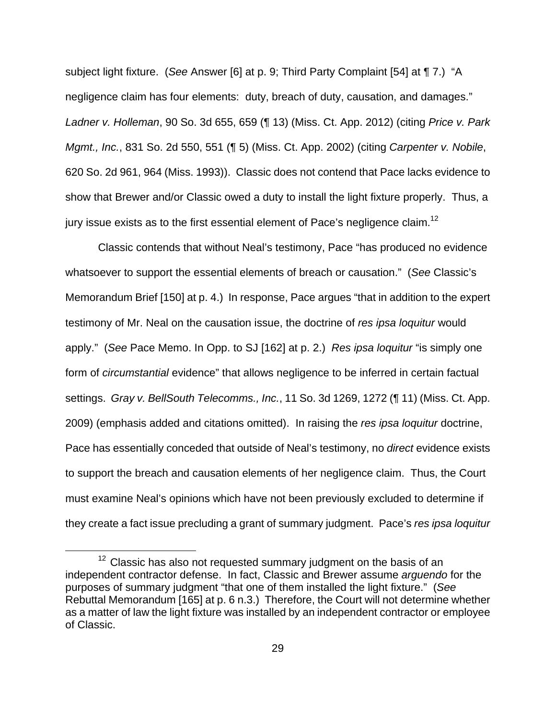subject light fixture. (See Answer [6] at p. 9; Third Party Complaint [54] at ¶ 7.) "A negligence claim has four elements: duty, breach of duty, causation, and damages." Ladner v. Holleman, 90 So. 3d 655, 659 (¶ 13) (Miss. Ct. App. 2012) (citing Price v. Park Mgmt., Inc., 831 So. 2d 550, 551 (¶ 5) (Miss. Ct. App. 2002) (citing Carpenter v. Nobile, 620 So. 2d 961, 964 (Miss. 1993)). Classic does not contend that Pace lacks evidence to show that Brewer and/or Classic owed a duty to install the light fixture properly. Thus, a jury issue exists as to the first essential element of Pace's negligence claim.<sup>12</sup>

Classic contends that without Neal's testimony, Pace "has produced no evidence whatsoever to support the essential elements of breach or causation." (See Classic's Memorandum Brief [150] at p. 4.) In response, Pace argues "that in addition to the expert testimony of Mr. Neal on the causation issue, the doctrine of res ipsa loquitur would apply." (See Pace Memo. In Opp. to SJ [162] at p. 2.) Res ipsa loquitur "is simply one form of circumstantial evidence" that allows negligence to be inferred in certain factual settings. Gray v. BellSouth Telecomms., Inc., 11 So. 3d 1269, 1272 (¶ 11) (Miss. Ct. App. 2009) (emphasis added and citations omitted). In raising the res ipsa loquitur doctrine, Pace has essentially conceded that outside of Neal's testimony, no *direct* evidence exists to support the breach and causation elements of her negligence claim. Thus, the Court must examine Neal's opinions which have not been previously excluded to determine if they create a fact issue precluding a grant of summary judgment. Pace's res ipsa loquitur

 $12$  Classic has also not requested summary judgment on the basis of an independent contractor defense. In fact, Classic and Brewer assume arguendo for the purposes of summary judgment "that one of them installed the light fixture." (See Rebuttal Memorandum [165] at p. 6 n.3.) Therefore, the Court will not determine whether as a matter of law the light fixture was installed by an independent contractor or employee of Classic.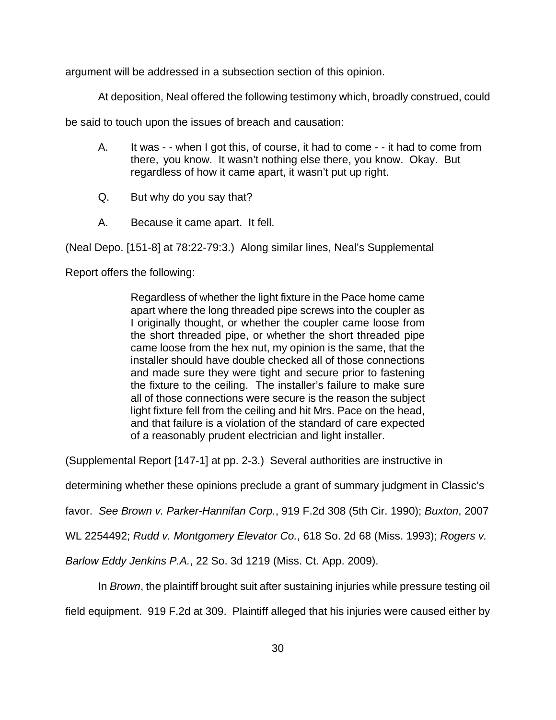argument will be addressed in a subsection section of this opinion.

At deposition, Neal offered the following testimony which, broadly construed, could

be said to touch upon the issues of breach and causation:

- A. It was - when I got this, of course, it had to come - it had to come from there, you know. It wasn't nothing else there, you know. Okay. But regardless of how it came apart, it wasn't put up right.
- Q. But why do you say that?
- A. Because it came apart. It fell.

(Neal Depo. [151-8] at 78:22-79:3.) Along similar lines, Neal's Supplemental

Report offers the following:

Regardless of whether the light fixture in the Pace home came apart where the long threaded pipe screws into the coupler as I originally thought, or whether the coupler came loose from the short threaded pipe, or whether the short threaded pipe came loose from the hex nut, my opinion is the same, that the installer should have double checked all of those connections and made sure they were tight and secure prior to fastening the fixture to the ceiling. The installer's failure to make sure all of those connections were secure is the reason the subject light fixture fell from the ceiling and hit Mrs. Pace on the head, and that failure is a violation of the standard of care expected of a reasonably prudent electrician and light installer.

(Supplemental Report [147-1] at pp. 2-3.) Several authorities are instructive in

determining whether these opinions preclude a grant of summary judgment in Classic's

favor. See Brown v. Parker-Hannifan Corp., 919 F.2d 308 (5th Cir. 1990); Buxton, 2007

WL 2254492; Rudd v. Montgomery Elevator Co., 618 So. 2d 68 (Miss. 1993); Rogers v.

Barlow Eddy Jenkins P.A., 22 So. 3d 1219 (Miss. Ct. App. 2009).

In *Brown*, the plaintiff brought suit after sustaining injuries while pressure testing oil

field equipment. 919 F.2d at 309. Plaintiff alleged that his injuries were caused either by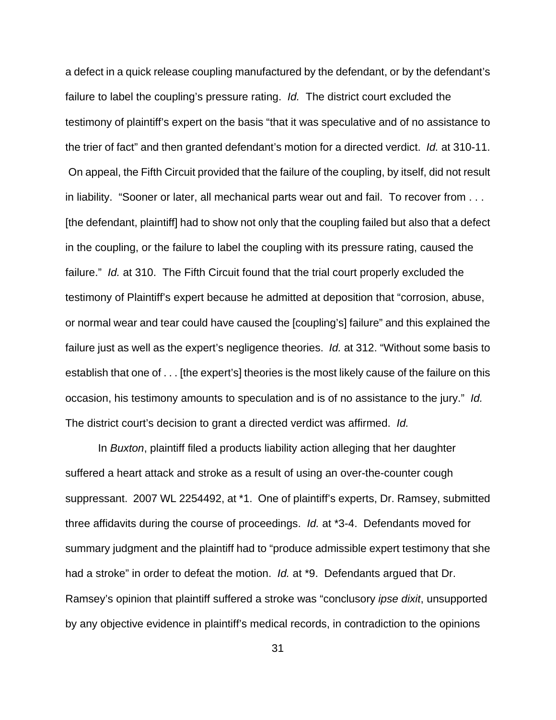a defect in a quick release coupling manufactured by the defendant, or by the defendant's failure to label the coupling's pressure rating. Id. The district court excluded the testimony of plaintiff's expert on the basis "that it was speculative and of no assistance to the trier of fact" and then granted defendant's motion for a directed verdict. Id. at 310-11. On appeal, the Fifth Circuit provided that the failure of the coupling, by itself, did not result in liability. "Sooner or later, all mechanical parts wear out and fail. To recover from . . . [the defendant, plaintiff] had to show not only that the coupling failed but also that a defect in the coupling, or the failure to label the coupling with its pressure rating, caused the failure." Id. at 310. The Fifth Circuit found that the trial court properly excluded the testimony of Plaintiff's expert because he admitted at deposition that "corrosion, abuse, or normal wear and tear could have caused the [coupling's] failure" and this explained the failure just as well as the expert's negligence theories. Id. at 312. "Without some basis to establish that one of . . . [the expert's] theories is the most likely cause of the failure on this occasion, his testimony amounts to speculation and is of no assistance to the jury." Id. The district court's decision to grant a directed verdict was affirmed. Id.

 In Buxton, plaintiff filed a products liability action alleging that her daughter suffered a heart attack and stroke as a result of using an over-the-counter cough suppressant. 2007 WL 2254492, at \*1. One of plaintiff's experts, Dr. Ramsey, submitted three affidavits during the course of proceedings. Id. at \*3-4. Defendants moved for summary judgment and the plaintiff had to "produce admissible expert testimony that she had a stroke" in order to defeat the motion. Id. at \*9. Defendants argued that Dr. Ramsey's opinion that plaintiff suffered a stroke was "conclusory ipse dixit, unsupported by any objective evidence in plaintiff's medical records, in contradiction to the opinions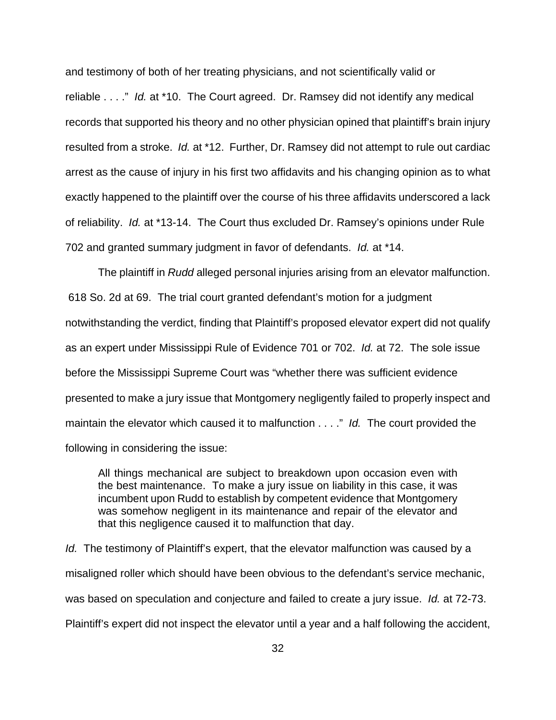and testimony of both of her treating physicians, and not scientifically valid or

reliable . . . ." Id. at \*10. The Court agreed. Dr. Ramsey did not identify any medical records that supported his theory and no other physician opined that plaintiff's brain injury resulted from a stroke. Id. at \*12. Further, Dr. Ramsey did not attempt to rule out cardiac arrest as the cause of injury in his first two affidavits and his changing opinion as to what exactly happened to the plaintiff over the course of his three affidavits underscored a lack of reliability. Id. at \*13-14. The Court thus excluded Dr. Ramsey's opinions under Rule 702 and granted summary judgment in favor of defendants. Id. at \*14.

The plaintiff in Rudd alleged personal injuries arising from an elevator malfunction. 618 So. 2d at 69. The trial court granted defendant's motion for a judgment notwithstanding the verdict, finding that Plaintiff's proposed elevator expert did not qualify as an expert under Mississippi Rule of Evidence 701 or 702. Id. at 72. The sole issue before the Mississippi Supreme Court was "whether there was sufficient evidence presented to make a jury issue that Montgomery negligently failed to properly inspect and maintain the elevator which caused it to malfunction . . . ." Id. The court provided the following in considering the issue:

All things mechanical are subject to breakdown upon occasion even with the best maintenance. To make a jury issue on liability in this case, it was incumbent upon Rudd to establish by competent evidence that Montgomery was somehow negligent in its maintenance and repair of the elevator and that this negligence caused it to malfunction that day.

Id. The testimony of Plaintiff's expert, that the elevator malfunction was caused by a misaligned roller which should have been obvious to the defendant's service mechanic, was based on speculation and conjecture and failed to create a jury issue. Id. at 72-73. Plaintiff's expert did not inspect the elevator until a year and a half following the accident,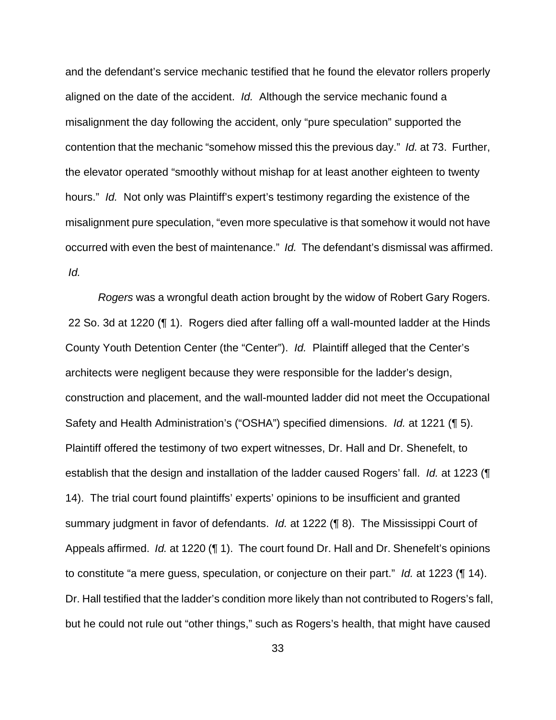and the defendant's service mechanic testified that he found the elevator rollers properly aligned on the date of the accident. Id. Although the service mechanic found a misalignment the day following the accident, only "pure speculation" supported the contention that the mechanic "somehow missed this the previous day." Id. at 73. Further, the elevator operated "smoothly without mishap for at least another eighteen to twenty hours." Id. Not only was Plaintiff's expert's testimony regarding the existence of the misalignment pure speculation, "even more speculative is that somehow it would not have occurred with even the best of maintenance." Id. The defendant's dismissal was affirmed. Id.

Rogers was a wrongful death action brought by the widow of Robert Gary Rogers. 22 So. 3d at 1220 (¶ 1). Rogers died after falling off a wall-mounted ladder at the Hinds County Youth Detention Center (the "Center"). Id. Plaintiff alleged that the Center's architects were negligent because they were responsible for the ladder's design, construction and placement, and the wall-mounted ladder did not meet the Occupational Safety and Health Administration's ("OSHA") specified dimensions. Id. at 1221 (¶ 5). Plaintiff offered the testimony of two expert witnesses, Dr. Hall and Dr. Shenefelt, to establish that the design and installation of the ladder caused Rogers' fall. Id. at 1223 ( 14). The trial court found plaintiffs' experts' opinions to be insufficient and granted summary judgment in favor of defendants. Id. at 1222 (¶ 8). The Mississippi Court of Appeals affirmed. *Id.* at 1220 (¶ 1). The court found Dr. Hall and Dr. Shenefelt's opinions to constitute "a mere guess, speculation, or conjecture on their part." Id. at 1223 (¶ 14). Dr. Hall testified that the ladder's condition more likely than not contributed to Rogers's fall, but he could not rule out "other things," such as Rogers's health, that might have caused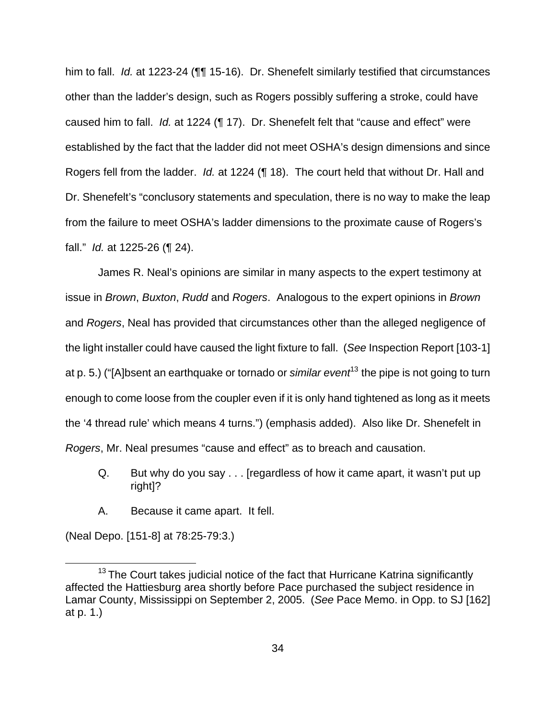him to fall. Id. at 1223-24 (¶¶ 15-16). Dr. Shenefelt similarly testified that circumstances other than the ladder's design, such as Rogers possibly suffering a stroke, could have caused him to fall. Id. at 1224 (¶ 17). Dr. Shenefelt felt that "cause and effect" were established by the fact that the ladder did not meet OSHA's design dimensions and since Rogers fell from the ladder. Id. at 1224 (¶ 18). The court held that without Dr. Hall and Dr. Shenefelt's "conclusory statements and speculation, there is no way to make the leap from the failure to meet OSHA's ladder dimensions to the proximate cause of Rogers's fall." Id. at 1225-26 (¶ 24).

 James R. Neal's opinions are similar in many aspects to the expert testimony at issue in Brown, Buxton, Rudd and Rogers. Analogous to the expert opinions in Brown and Rogers, Neal has provided that circumstances other than the alleged negligence of the light installer could have caused the light fixture to fall. (See Inspection Report [103-1] at p. 5.) ("[A]bsent an earthquake or tornado or similar event<sup>13</sup> the pipe is not going to turn enough to come loose from the coupler even if it is only hand tightened as long as it meets the '4 thread rule' which means 4 turns.") (emphasis added). Also like Dr. Shenefelt in Rogers, Mr. Neal presumes "cause and effect" as to breach and causation.

- Q. But why do you say . . . [regardless of how it came apart, it wasn't put up right<sup>1?</sup>
- A. Because it came apart. It fell.

(Neal Depo. [151-8] at 78:25-79:3.)

 $\overline{a}$ 

 $13$  The Court takes judicial notice of the fact that Hurricane Katrina significantly affected the Hattiesburg area shortly before Pace purchased the subject residence in Lamar County, Mississippi on September 2, 2005. (See Pace Memo. in Opp. to SJ [162] at p. 1.)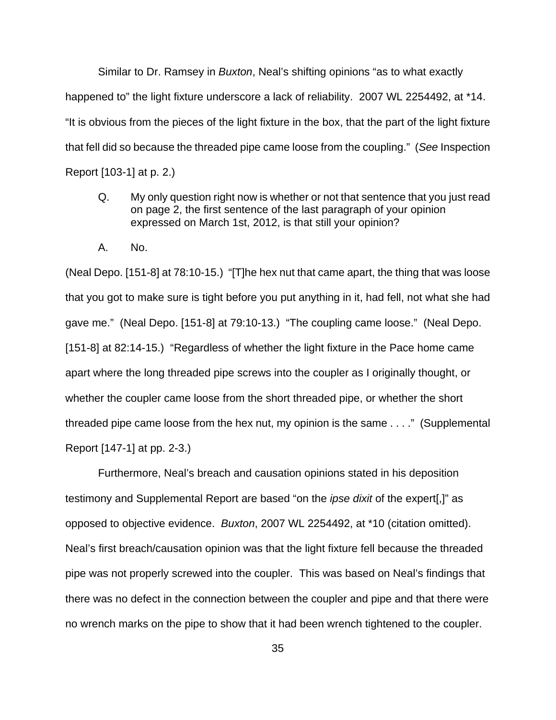Similar to Dr. Ramsey in *Buxton*, Neal's shifting opinions "as to what exactly happened to" the light fixture underscore a lack of reliability. 2007 WL 2254492, at \*14. "It is obvious from the pieces of the light fixture in the box, that the part of the light fixture that fell did so because the threaded pipe came loose from the coupling." (See Inspection Report [103-1] at p. 2.)

- Q. My only question right now is whether or not that sentence that you just read on page 2, the first sentence of the last paragraph of your opinion expressed on March 1st, 2012, is that still your opinion?
- A. No.

(Neal Depo. [151-8] at 78:10-15.) "[T]he hex nut that came apart, the thing that was loose that you got to make sure is tight before you put anything in it, had fell, not what she had gave me." (Neal Depo. [151-8] at 79:10-13.) "The coupling came loose." (Neal Depo. [151-8] at 82:14-15.) "Regardless of whether the light fixture in the Pace home came apart where the long threaded pipe screws into the coupler as I originally thought, or whether the coupler came loose from the short threaded pipe, or whether the short threaded pipe came loose from the hex nut, my opinion is the same . . . ." (Supplemental Report [147-1] at pp. 2-3.)

 Furthermore, Neal's breach and causation opinions stated in his deposition testimony and Supplemental Report are based "on the ipse dixit of the expert[,]" as opposed to objective evidence. Buxton, 2007 WL 2254492, at \*10 (citation omitted). Neal's first breach/causation opinion was that the light fixture fell because the threaded pipe was not properly screwed into the coupler. This was based on Neal's findings that there was no defect in the connection between the coupler and pipe and that there were no wrench marks on the pipe to show that it had been wrench tightened to the coupler.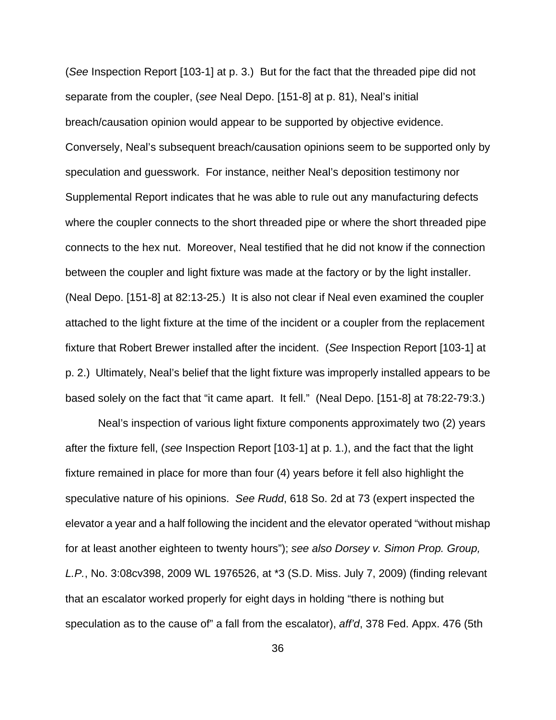(See Inspection Report [103-1] at p. 3.) But for the fact that the threaded pipe did not separate from the coupler, (see Neal Depo. [151-8] at p. 81), Neal's initial breach/causation opinion would appear to be supported by objective evidence. Conversely, Neal's subsequent breach/causation opinions seem to be supported only by speculation and guesswork. For instance, neither Neal's deposition testimony nor Supplemental Report indicates that he was able to rule out any manufacturing defects where the coupler connects to the short threaded pipe or where the short threaded pipe connects to the hex nut. Moreover, Neal testified that he did not know if the connection between the coupler and light fixture was made at the factory or by the light installer. (Neal Depo. [151-8] at 82:13-25.) It is also not clear if Neal even examined the coupler attached to the light fixture at the time of the incident or a coupler from the replacement fixture that Robert Brewer installed after the incident. (See Inspection Report [103-1] at p. 2.) Ultimately, Neal's belief that the light fixture was improperly installed appears to be based solely on the fact that "it came apart. It fell." (Neal Depo. [151-8] at 78:22-79:3.)

 Neal's inspection of various light fixture components approximately two (2) years after the fixture fell, (see Inspection Report [103-1] at p. 1.), and the fact that the light fixture remained in place for more than four (4) years before it fell also highlight the speculative nature of his opinions. See Rudd, 618 So. 2d at 73 (expert inspected the elevator a year and a half following the incident and the elevator operated "without mishap for at least another eighteen to twenty hours"); see also Dorsey v. Simon Prop. Group, L.P., No. 3:08cv398, 2009 WL 1976526, at \*3 (S.D. Miss. July 7, 2009) (finding relevant that an escalator worked properly for eight days in holding "there is nothing but speculation as to the cause of" a fall from the escalator), aff'd, 378 Fed. Appx. 476 (5th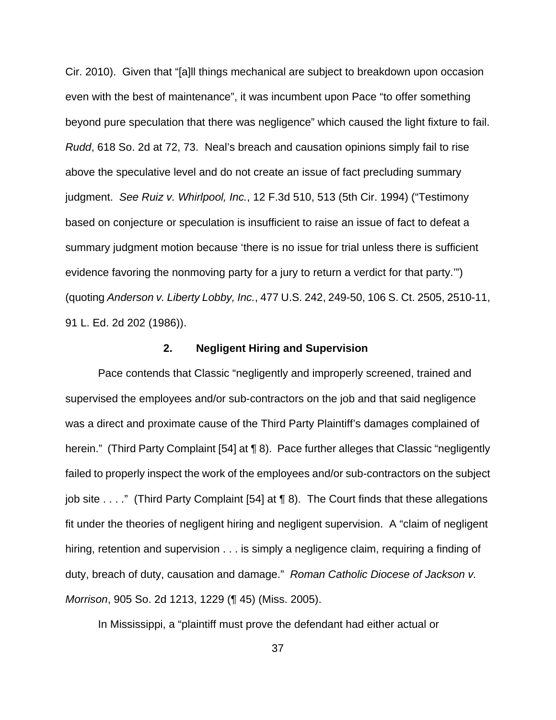Cir. 2010). Given that "[a]ll things mechanical are subject to breakdown upon occasion even with the best of maintenance", it was incumbent upon Pace "to offer something beyond pure speculation that there was negligence" which caused the light fixture to fail. Rudd, 618 So. 2d at 72, 73. Neal's breach and causation opinions simply fail to rise above the speculative level and do not create an issue of fact precluding summary judgment. See Ruiz v. Whirlpool, Inc., 12 F.3d 510, 513 (5th Cir. 1994) ("Testimony based on conjecture or speculation is insufficient to raise an issue of fact to defeat a summary judgment motion because 'there is no issue for trial unless there is sufficient evidence favoring the nonmoving party for a jury to return a verdict for that party.'") (quoting Anderson v. Liberty Lobby, Inc., 477 U.S. 242, 249-50, 106 S. Ct. 2505, 2510-11, 91 L. Ed. 2d 202 (1986)).

#### **2. Negligent Hiring and Supervision**

 Pace contends that Classic "negligently and improperly screened, trained and supervised the employees and/or sub-contractors on the job and that said negligence was a direct and proximate cause of the Third Party Plaintiff's damages complained of herein." (Third Party Complaint [54] at ¶ 8). Pace further alleges that Classic "negligently failed to properly inspect the work of the employees and/or sub-contractors on the subject job site . . . ." (Third Party Complaint [54] at ¶ 8). The Court finds that these allegations fit under the theories of negligent hiring and negligent supervision. A "claim of negligent hiring, retention and supervision . . . is simply a negligence claim, requiring a finding of duty, breach of duty, causation and damage." Roman Catholic Diocese of Jackson v. Morrison, 905 So. 2d 1213, 1229 (¶ 45) (Miss. 2005).

In Mississippi, a "plaintiff must prove the defendant had either actual or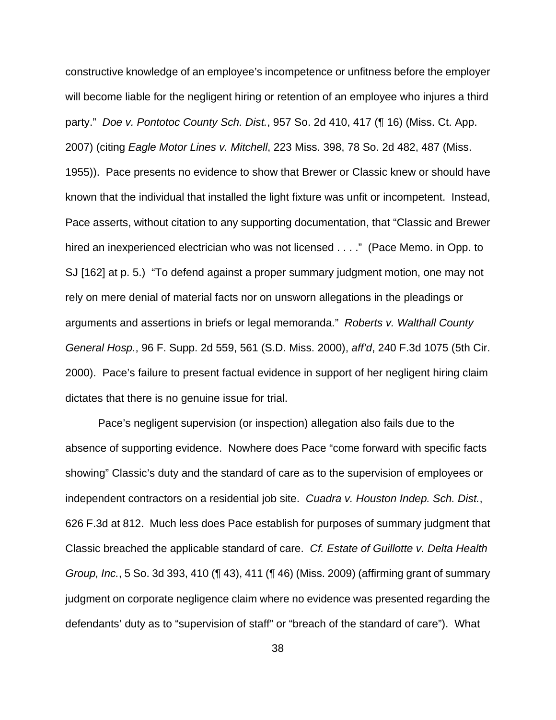constructive knowledge of an employee's incompetence or unfitness before the employer will become liable for the negligent hiring or retention of an employee who injures a third party." Doe v. Pontotoc County Sch. Dist., 957 So. 2d 410, 417 (¶ 16) (Miss. Ct. App. 2007) (citing Eagle Motor Lines v. Mitchell, 223 Miss. 398, 78 So. 2d 482, 487 (Miss. 1955)). Pace presents no evidence to show that Brewer or Classic knew or should have known that the individual that installed the light fixture was unfit or incompetent. Instead, Pace asserts, without citation to any supporting documentation, that "Classic and Brewer hired an inexperienced electrician who was not licensed . . . ." (Pace Memo. in Opp. to SJ [162] at p. 5.) "To defend against a proper summary judgment motion, one may not rely on mere denial of material facts nor on unsworn allegations in the pleadings or arguments and assertions in briefs or legal memoranda." Roberts v. Walthall County General Hosp., 96 F. Supp. 2d 559, 561 (S.D. Miss. 2000), aff'd, 240 F.3d 1075 (5th Cir. 2000). Pace's failure to present factual evidence in support of her negligent hiring claim dictates that there is no genuine issue for trial.

 Pace's negligent supervision (or inspection) allegation also fails due to the absence of supporting evidence. Nowhere does Pace "come forward with specific facts showing" Classic's duty and the standard of care as to the supervision of employees or independent contractors on a residential job site. Cuadra v. Houston Indep. Sch. Dist., 626 F.3d at 812. Much less does Pace establish for purposes of summary judgment that Classic breached the applicable standard of care. Cf. Estate of Guillotte v. Delta Health Group, Inc., 5 So. 3d 393, 410 (¶ 43), 411 (¶ 46) (Miss. 2009) (affirming grant of summary judgment on corporate negligence claim where no evidence was presented regarding the defendants' duty as to "supervision of staff" or "breach of the standard of care"). What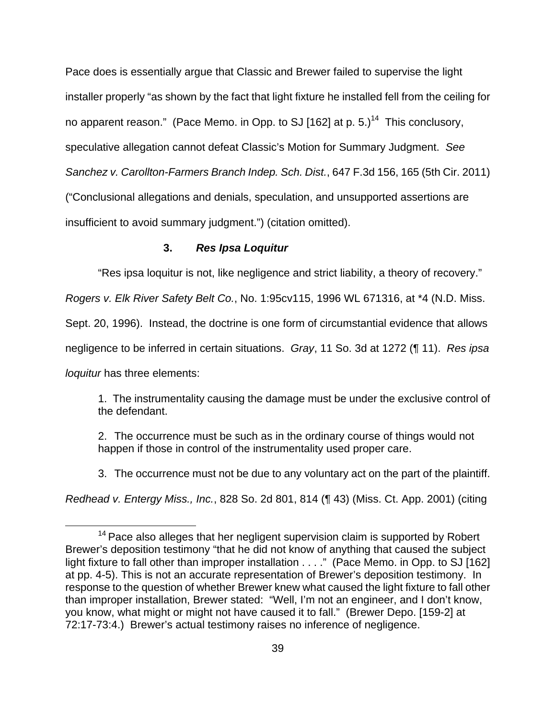Pace does is essentially argue that Classic and Brewer failed to supervise the light installer properly "as shown by the fact that light fixture he installed fell from the ceiling for no apparent reason." (Pace Memo. in Opp. to SJ [162] at p.  $5.1<sup>14</sup>$  This conclusory, speculative allegation cannot defeat Classic's Motion for Summary Judgment. See Sanchez v. Carollton-Farmers Branch Indep. Sch. Dist., 647 F.3d 156, 165 (5th Cir. 2011) ("Conclusional allegations and denials, speculation, and unsupported assertions are insufficient to avoid summary judgment.") (citation omitted).

### **3. Res Ipsa Loquitur**

"Res ipsa loquitur is not, like negligence and strict liability, a theory of recovery."

Rogers v. Elk River Safety Belt Co., No. 1:95cv115, 1996 WL 671316, at \*4 (N.D. Miss.

Sept. 20, 1996). Instead, the doctrine is one form of circumstantial evidence that allows

negligence to be inferred in certain situations. Gray, 11 So. 3d at 1272 (¶ 11). Res ipsa

loquitur has three elements:

 $\overline{a}$ 

1. The instrumentality causing the damage must be under the exclusive control of the defendant.

2. The occurrence must be such as in the ordinary course of things would not happen if those in control of the instrumentality used proper care.

3. The occurrence must not be due to any voluntary act on the part of the plaintiff.

Redhead v. Entergy Miss., Inc., 828 So. 2d 801, 814 (¶ 43) (Miss. Ct. App. 2001) (citing

 $14}$  Pace also alleges that her negligent supervision claim is supported by Robert Brewer's deposition testimony "that he did not know of anything that caused the subject light fixture to fall other than improper installation . . . ." (Pace Memo. in Opp. to SJ [162] at pp. 4-5). This is not an accurate representation of Brewer's deposition testimony. In response to the question of whether Brewer knew what caused the light fixture to fall other than improper installation, Brewer stated: "Well, I'm not an engineer, and I don't know, you know, what might or might not have caused it to fall." (Brewer Depo. [159-2] at 72:17-73:4.) Brewer's actual testimony raises no inference of negligence.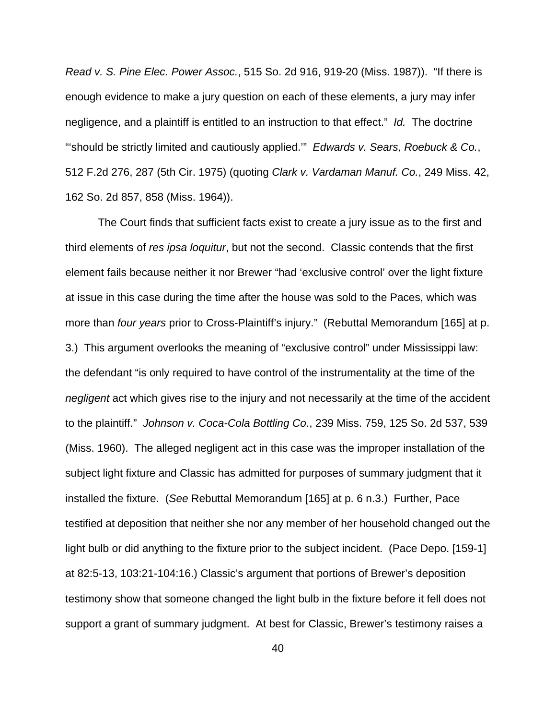Read v. S. Pine Elec. Power Assoc., 515 So. 2d 916, 919-20 (Miss. 1987)). "If there is enough evidence to make a jury question on each of these elements, a jury may infer negligence, and a plaintiff is entitled to an instruction to that effect." Id. The doctrine "should be strictly limited and cautiously applied." Edwards v. Sears, Roebuck & Co., 512 F.2d 276, 287 (5th Cir. 1975) (quoting Clark v. Vardaman Manuf. Co., 249 Miss. 42, 162 So. 2d 857, 858 (Miss. 1964)).

 The Court finds that sufficient facts exist to create a jury issue as to the first and third elements of res ipsa loquitur, but not the second. Classic contends that the first element fails because neither it nor Brewer "had 'exclusive control' over the light fixture at issue in this case during the time after the house was sold to the Paces, which was more than four years prior to Cross-Plaintiff's injury." (Rebuttal Memorandum [165] at p. 3.) This argument overlooks the meaning of "exclusive control" under Mississippi law: the defendant "is only required to have control of the instrumentality at the time of the negligent act which gives rise to the injury and not necessarily at the time of the accident to the plaintiff." Johnson v. Coca-Cola Bottling Co., 239 Miss. 759, 125 So. 2d 537, 539 (Miss. 1960). The alleged negligent act in this case was the improper installation of the subject light fixture and Classic has admitted for purposes of summary judgment that it installed the fixture. (See Rebuttal Memorandum [165] at p. 6 n.3.) Further, Pace testified at deposition that neither she nor any member of her household changed out the light bulb or did anything to the fixture prior to the subject incident. (Pace Depo. [159-1] at 82:5-13, 103:21-104:16.) Classic's argument that portions of Brewer's deposition testimony show that someone changed the light bulb in the fixture before it fell does not support a grant of summary judgment. At best for Classic, Brewer's testimony raises a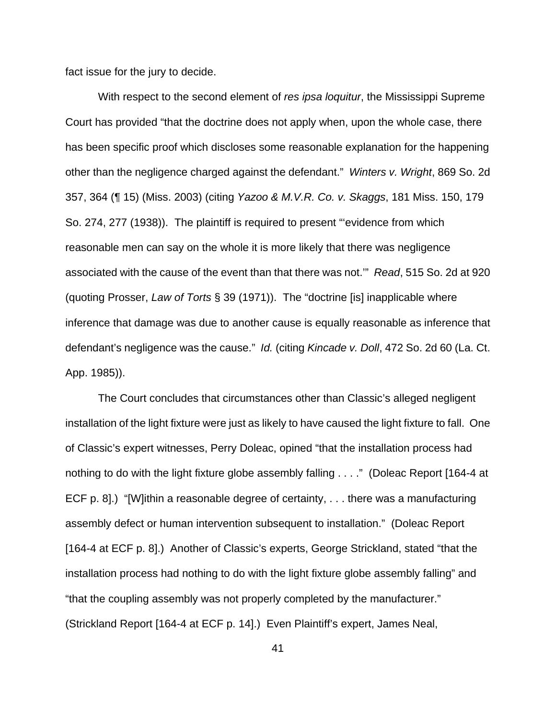fact issue for the jury to decide.

With respect to the second element of res ipsa loquitur, the Mississippi Supreme Court has provided "that the doctrine does not apply when, upon the whole case, there has been specific proof which discloses some reasonable explanation for the happening other than the negligence charged against the defendant." Winters v. Wright, 869 So. 2d 357, 364 (¶ 15) (Miss. 2003) (citing Yazoo & M.V.R. Co. v. Skaggs, 181 Miss. 150, 179 So. 274, 277 (1938)). The plaintiff is required to present "'evidence from which reasonable men can say on the whole it is more likely that there was negligence associated with the cause of the event than that there was not.'" Read, 515 So. 2d at 920 (quoting Prosser, Law of Torts § 39 (1971)). The "doctrine [is] inapplicable where inference that damage was due to another cause is equally reasonable as inference that defendant's negligence was the cause." Id. (citing Kincade v. Doll, 472 So. 2d 60 (La. Ct. App. 1985)).

 The Court concludes that circumstances other than Classic's alleged negligent installation of the light fixture were just as likely to have caused the light fixture to fall. One of Classic's expert witnesses, Perry Doleac, opined "that the installation process had nothing to do with the light fixture globe assembly falling . . . ." (Doleac Report [164-4 at ECF p. 8].) "[W]ithin a reasonable degree of certainty, . . . there was a manufacturing assembly defect or human intervention subsequent to installation." (Doleac Report [164-4 at ECF p. 8].) Another of Classic's experts, George Strickland, stated "that the installation process had nothing to do with the light fixture globe assembly falling" and "that the coupling assembly was not properly completed by the manufacturer." (Strickland Report [164-4 at ECF p. 14].) Even Plaintiff's expert, James Neal,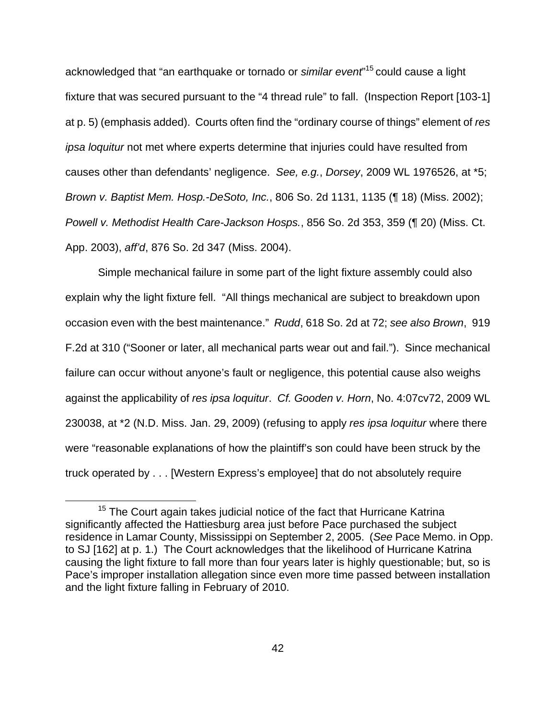acknowledged that "an earthquake or tornado or similar event"<sup>15</sup> could cause a light fixture that was secured pursuant to the "4 thread rule" to fall. (Inspection Report [103-1] at p. 5) (emphasis added). Courts often find the "ordinary course of things" element of res ipsa loquitur not met where experts determine that injuries could have resulted from causes other than defendants' negligence. See, e.g., Dorsey, 2009 WL 1976526, at \*5; Brown v. Baptist Mem. Hosp.-DeSoto, Inc., 806 So. 2d 1131, 1135 (¶ 18) (Miss. 2002); Powell v. Methodist Health Care-Jackson Hosps., 856 So. 2d 353, 359 (¶ 20) (Miss. Ct. App. 2003), aff'd, 876 So. 2d 347 (Miss. 2004).

 Simple mechanical failure in some part of the light fixture assembly could also explain why the light fixture fell. "All things mechanical are subject to breakdown upon occasion even with the best maintenance." Rudd, 618 So. 2d at 72; see also Brown, 919 F.2d at 310 ("Sooner or later, all mechanical parts wear out and fail."). Since mechanical failure can occur without anyone's fault or negligence, this potential cause also weighs against the applicability of res ipsa loquitur. Cf. Gooden v. Horn, No. 4:07cv72, 2009 WL 230038, at \*2 (N.D. Miss. Jan. 29, 2009) (refusing to apply res ipsa loquitur where there were "reasonable explanations of how the plaintiff's son could have been struck by the truck operated by . . . [Western Express's employee] that do not absolutely require

 $\overline{a}$ 

<sup>&</sup>lt;sup>15</sup> The Court again takes judicial notice of the fact that Hurricane Katrina significantly affected the Hattiesburg area just before Pace purchased the subject residence in Lamar County, Mississippi on September 2, 2005. (See Pace Memo. in Opp. to SJ [162] at p. 1.) The Court acknowledges that the likelihood of Hurricane Katrina causing the light fixture to fall more than four years later is highly questionable; but, so is Pace's improper installation allegation since even more time passed between installation and the light fixture falling in February of 2010.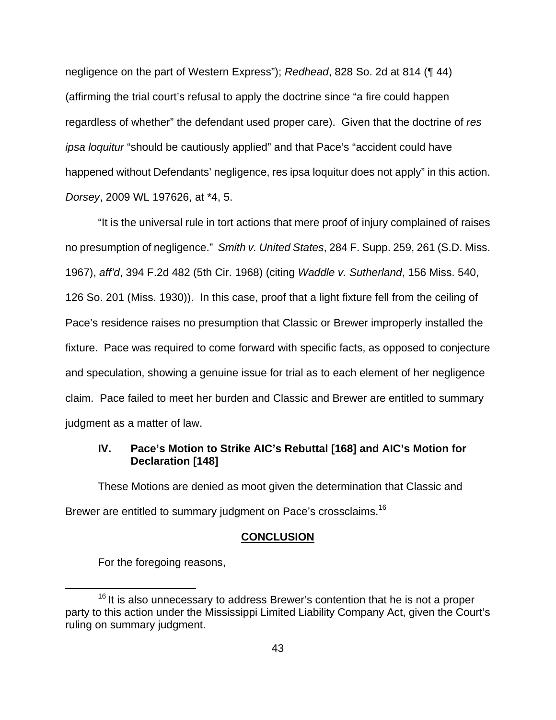negligence on the part of Western Express"); Redhead, 828 So. 2d at 814 (¶ 44) (affirming the trial court's refusal to apply the doctrine since "a fire could happen regardless of whether" the defendant used proper care). Given that the doctrine of res ipsa loquitur "should be cautiously applied" and that Pace's "accident could have happened without Defendants' negligence, res ipsa loquitur does not apply" in this action. Dorsey, 2009 WL 197626, at \*4, 5.

 "It is the universal rule in tort actions that mere proof of injury complained of raises no presumption of negligence." Smith v. United States, 284 F. Supp. 259, 261 (S.D. Miss. 1967), aff'd, 394 F.2d 482 (5th Cir. 1968) (citing Waddle v. Sutherland, 156 Miss. 540, 126 So. 201 (Miss. 1930)). In this case, proof that a light fixture fell from the ceiling of Pace's residence raises no presumption that Classic or Brewer improperly installed the fixture. Pace was required to come forward with specific facts, as opposed to conjecture and speculation, showing a genuine issue for trial as to each element of her negligence claim. Pace failed to meet her burden and Classic and Brewer are entitled to summary judgment as a matter of law.

# **IV. Pace's Motion to Strike AIC's Rebuttal [168] and AIC's Motion for Declaration [148]**

 These Motions are denied as moot given the determination that Classic and Brewer are entitled to summary judgment on Pace's crossclaims.<sup>16</sup>

## **CONCLUSION**

For the foregoing reasons,

 $\overline{a}$ 

 $16$  It is also unnecessary to address Brewer's contention that he is not a proper party to this action under the Mississippi Limited Liability Company Act, given the Court's ruling on summary judgment.